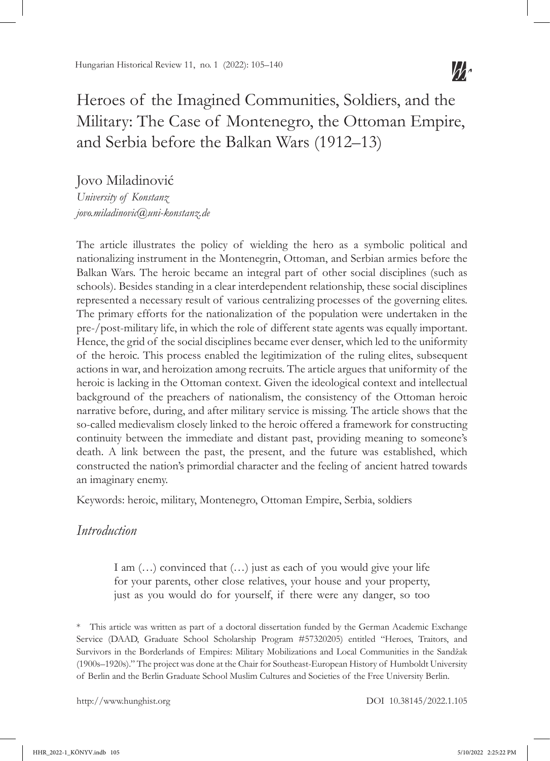# Heroes of the Imagined Communities, Soldiers, and the Military: The Case of Montenegro, the Ottoman Empire, and Serbia before the Balkan Wars (1912–13)

Jovo Miladinović *University of Konstanz jovo.miladinovic@uni-konstanz.de*

The article illustrates the policy of wielding the hero as a symbolic political and nationalizing instrument in the Montenegrin, Ottoman, and Serbian armies before the Balkan Wars. The heroic became an integral part of other social disciplines (such as schools). Besides standing in a clear interdependent relationship, these social disciplines represented a necessary result of various centralizing processes of the governing elites. The primary efforts for the nationalization of the population were undertaken in the pre-/post-military life, in which the role of different state agents was equally important. Hence, the grid of the social disciplines became ever denser, which led to the uniformity of the heroic. This process enabled the legitimization of the ruling elites, subsequent actions in war, and heroization among recruits. The article argues that uniformity of the heroic is lacking in the Ottoman context. Given the ideological context and intellectual background of the preachers of nationalism, the consistency of the Ottoman heroic narrative before, during, and after military service is missing. The article shows that the so-called medievalism closely linked to the heroic offered a framework for constructing continuity between the immediate and distant past, providing meaning to someone's death. A link between the past, the present, and the future was established, which constructed the nation's primordial character and the feeling of ancient hatred towards an imaginary enemy.

Keywords: heroic, military, Montenegro, Ottoman Empire, Serbia, soldiers

#### *Introduction*

I am  $(...)$  convinced that  $(...)$  just as each of you would give your life for your parents, other close relatives, your house and your property, just as you would do for yourself, if there were any danger, so too

\* This article was written as part of a doctoral dissertation funded by the German Academic Exchange Service (DAAD, Graduate School Scholarship Program #57320205) entitled "Heroes, Traitors, and Survivors in the Borderlands of Empires: Military Mobilizations and Local Communities in the Sandžak (1900s–1920s)." The project was done at the Chair for Southeast-European History of Humboldt University of Berlin and the Berlin Graduate School Muslim Cultures and Societies of the Free University Berlin.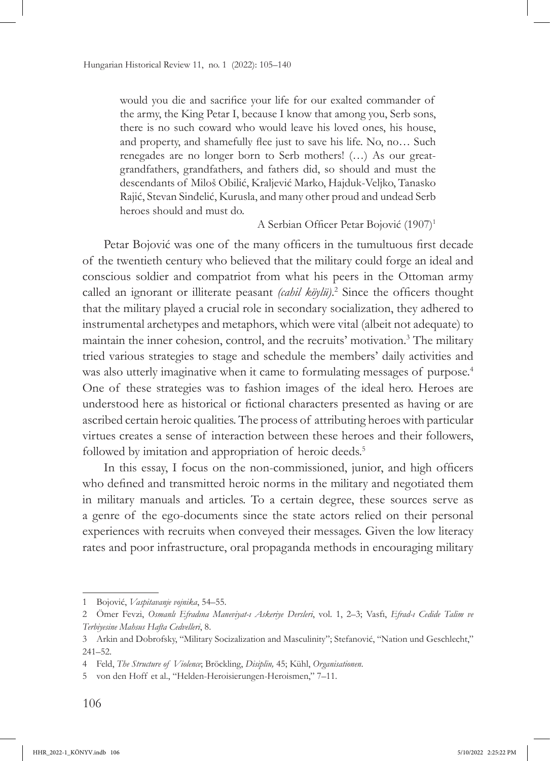would you die and sacrifice your life for our exalted commander of the army, the King Petar I, because I know that among you, Serb sons, there is no such coward who would leave his loved ones, his house, and property, and shamefully flee just to save his life. No, no… Such renegades are no longer born to Serb mothers! (…) As our greatgrandfathers, grandfathers, and fathers did, so should and must the descendants of Miloš Obilić, Kraljević Marko, Hajduk-Veljko, Tanasko Rajić, Stevan Sinđelić, Kurusla, and many other proud and undead Serb heroes should and must do.

#### A Serbian Officer Petar Bojović (1907)<sup>1</sup>

Petar Bojović was one of the many officers in the tumultuous first decade of the twentieth century who believed that the military could forge an ideal and conscious soldier and compatriot from what his peers in the Ottoman army called an ignorant or illiterate peasant *(cahil köylü)*. 2 Since the officers thought that the military played a crucial role in secondary socialization, they adhered to instrumental archetypes and metaphors, which were vital (albeit not adequate) to maintain the inner cohesion, control, and the recruits' motivation.<sup>3</sup> The military tried various strategies to stage and schedule the members' daily activities and was also utterly imaginative when it came to formulating messages of purpose.<sup>4</sup> One of these strategies was to fashion images of the ideal hero. Heroes are understood here as historical or fictional characters presented as having or are ascribed certain heroic qualities. The process of attributing heroes with particular virtues creates a sense of interaction between these heroes and their followers, followed by imitation and appropriation of heroic deeds.<sup>5</sup>

In this essay, I focus on the non-commissioned, junior, and high officers who defined and transmitted heroic norms in the military and negotiated them in military manuals and articles. To a certain degree, these sources serve as a genre of the ego-documents since the state actors relied on their personal experiences with recruits when conveyed their messages. Given the low literacy rates and poor infrastructure, oral propaganda methods in encouraging military

<sup>1</sup> Bojović, *Vaspitavanje vojnika*, 54–55.

<sup>2</sup> Ömer Fevzi, *Osmanlı Efradına Maneviyat-ı Askeriye Dersleri*, vol. 1, 2–3; Vasfı, *Efrad-ı Cedide Talim ve Terbiyesine Mahsus Hafta Cedvelleri*, 8.

<sup>3</sup> Arkin and Dobrofsky, "Military Socizalization and Masculinity"; Stefanović, "Nation und Geschlecht," 241–52.

<sup>4</sup> Feld, *The Structure of Violence*; Bröckling, *Disiplin,* 45; Kühl, *Organisationen*.

<sup>5</sup> von den Hoff et al., "Helden-Heroisierungen-Heroismen," 7–11.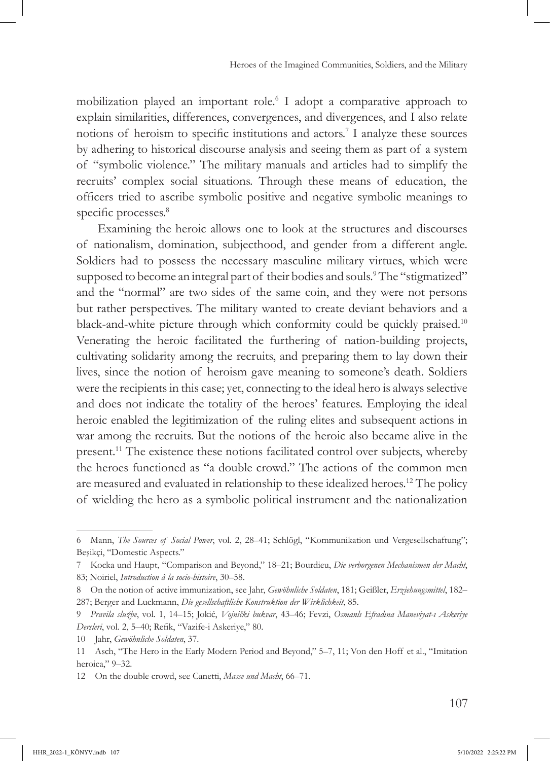mobilization played an important role.6 I adopt a comparative approach to explain similarities, differences, convergences, and divergences, and I also relate notions of heroism to specific institutions and actors.<sup>7</sup> I analyze these sources by adhering to historical discourse analysis and seeing them as part of a system of "symbolic violence." The military manuals and articles had to simplify the recruits' complex social situations. Through these means of education, the officers tried to ascribe symbolic positive and negative symbolic meanings to specific processes.<sup>8</sup>

Examining the heroic allows one to look at the structures and discourses of nationalism, domination, subjecthood, and gender from a different angle. Soldiers had to possess the necessary masculine military virtues, which were supposed to become an integral part of their bodies and souls.<sup>9</sup> The "stigmatized" and the "normal" are two sides of the same coin, and they were not persons but rather perspectives. The military wanted to create deviant behaviors and a black-and-white picture through which conformity could be quickly praised.10 Venerating the heroic facilitated the furthering of nation-building projects, cultivating solidarity among the recruits, and preparing them to lay down their lives, since the notion of heroism gave meaning to someone's death. Soldiers were the recipients in this case; yet, connecting to the ideal hero is always selective and does not indicate the totality of the heroes' features. Employing the ideal heroic enabled the legitimization of the ruling elites and subsequent actions in war among the recruits. But the notions of the heroic also became alive in the present.11 The existence these notions facilitated control over subjects, whereby the heroes functioned as "a double crowd." The actions of the common men are measured and evaluated in relationship to these idealized heroes.12 The policy of wielding the hero as a symbolic political instrument and the nationalization

<sup>6</sup> Mann, *The Sources of Social Power*, vol. 2, 28–41; Schlögl, "Kommunikation und Vergesellschaftung"; Beşikçi, "Domestic Aspects."

<sup>7</sup> Kocka und Haupt, "Comparison and Beyond," 18–21; Bourdieu, *Die verborgenen Mechanismen der Macht*, 83; Noiriel, *Introduction à la socio-histoire*, 30–58.

<sup>8</sup> On the notion of active immunization, see Jahr, *Gewöhnliche Soldaten*, 181; Geißler, *Erziehungsmittel*, 182– 287; Berger and Luckmann, *Die gesellschaftliche Konstruktion der Wirklichkeit*, 85.

<sup>9</sup> *Pravila službe*, vol. 1, 14–15; Jokić, *Vojnički bukvar*, 43–46; Fevzi, *Osmanlı Efradına Maneviyat-ı Askeriye Dersleri*, vol. 2, 5–40; Refik, "Vazife-i Askeriye," 80.

<sup>10</sup> Jahr, *Gewöhnliche Soldaten*, 37.

<sup>11</sup> Asch, "The Hero in the Early Modern Period and Beyond," 5–7, 11; Von den Hoff et al., "Imitation heroica," 9–32.

<sup>12</sup> On the double crowd, see Canetti, *Masse und Macht*, 66–71.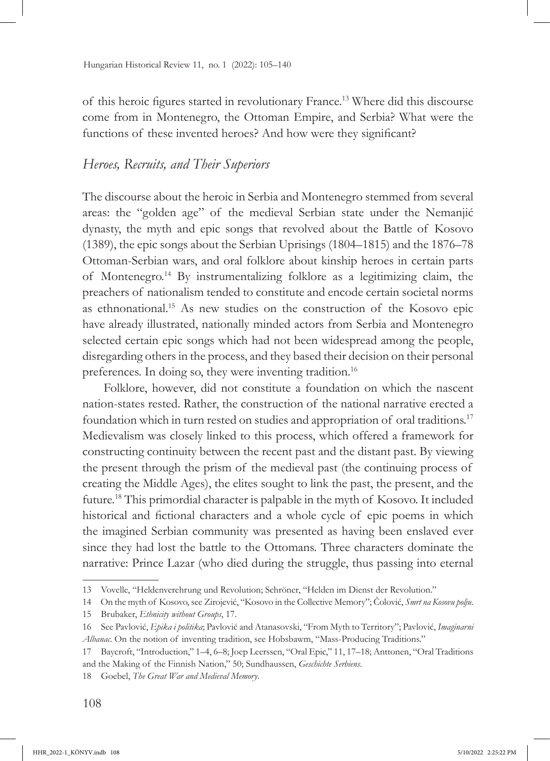of this heroic figures started in revolutionary France.13 Where did this discourse come from in Montenegro, the Ottoman Empire, and Serbia? What were the functions of these invented heroes? And how were they significant?

# *Heroes, Recruits, and Their Superiors*

The discourse about the heroic in Serbia and Montenegro stemmed from several areas: the "golden age" of the medieval Serbian state under the Nemanjić dynasty, the myth and epic songs that revolved about the Battle of Kosovo (1389), the epic songs about the Serbian Uprisings (1804–1815) and the 1876–78 Ottoman-Serbian wars, and oral folklore about kinship heroes in certain parts of Montenegro.14 By instrumentalizing folklore as a legitimizing claim, the preachers of nationalism tended to constitute and encode certain societal norms as ethnonational.15 As new studies on the construction of the Kosovo epic have already illustrated, nationally minded actors from Serbia and Montenegro selected certain epic songs which had not been widespread among the people, disregarding others in the process, and they based their decision on their personal preferences. In doing so, they were inventing tradition.<sup>16</sup>

Folklore, however, did not constitute a foundation on which the nascent nation-states rested. Rather, the construction of the national narrative erected a foundation which in turn rested on studies and appropriation of oral traditions.17 Medievalism was closely linked to this process, which offered a framework for constructing continuity between the recent past and the distant past. By viewing the present through the prism of the medieval past (the continuing process of creating the Middle Ages), the elites sought to link the past, the present, and the future.18 This primordial character is palpable in the myth of Kosovo. It included historical and fictional characters and a whole cycle of epic poems in which the imagined Serbian community was presented as having been enslaved ever since they had lost the battle to the Ottomans. Three characters dominate the narrative: Prince Lazar (who died during the struggle, thus passing into eternal

<sup>13</sup> Vovelle, "Heldenverehrung und Revolution; Schröner, "Helden im Dienst der Revolution."

<sup>14</sup> On the myth of Kosovo, see Zirojević, "Kosovo in the Collective Memory"; Čolović, *Smrt na Kosovu polju*.

<sup>15</sup> Brubaker, *Ethnicity without Groups*, 17.

<sup>16</sup> See Pavlović, *Epika i politika*; Pavlović and Atanasovski, "From Myth to Territory"; Pavlović, *Imaginarni Albanac*. On the notion of inventing tradition, see Hobsbawm, "Mass-Producing Traditions."

<sup>17</sup> Baycroft, "Introduction," 1–4, 6–8; Joep Leerssen, "Oral Epic," 11, 17–18; Anttonen, "Oral Traditions and the Making of the Finnish Nation," 50; Sundhaussen, *Geschichte Serbiens*.

<sup>18</sup> Goebel, *The Great War and Medieval Memory*.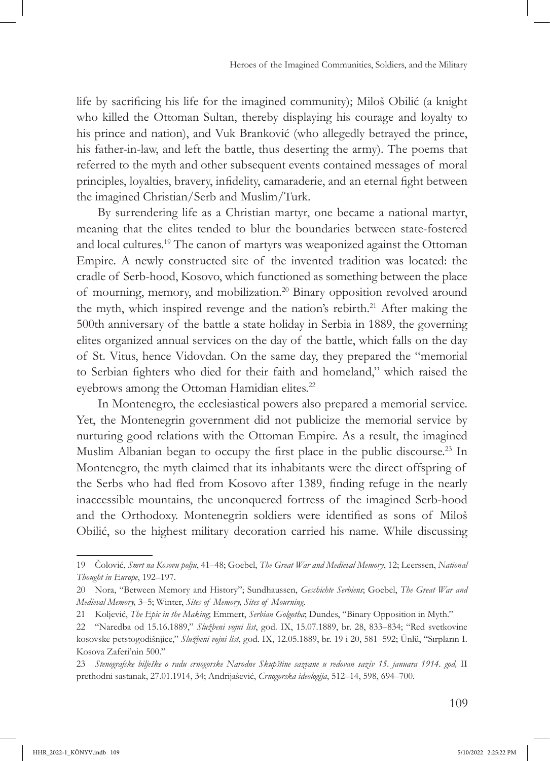life by sacrificing his life for the imagined community); Miloš Obilić (a knight who killed the Ottoman Sultan, thereby displaying his courage and loyalty to his prince and nation), and Vuk Branković (who allegedly betrayed the prince, his father-in-law, and left the battle, thus deserting the army). The poems that referred to the myth and other subsequent events contained messages of moral principles, loyalties, bravery, infidelity, camaraderie, and an eternal fight between the imagined Christian/Serb and Muslim/Turk.

By surrendering life as a Christian martyr, one became a national martyr, meaning that the elites tended to blur the boundaries between state-fostered and local cultures.19 The canon of martyrs was weaponized against the Ottoman Empire. A newly constructed site of the invented tradition was located: the cradle of Serb-hood, Kosovo, which functioned as something between the place of mourning, memory, and mobilization.20 Binary opposition revolved around the myth, which inspired revenge and the nation's rebirth.<sup>21</sup> After making the 500th anniversary of the battle a state holiday in Serbia in 1889, the governing elites organized annual services on the day of the battle, which falls on the day of St. Vitus, hence Vidovdan. On the same day, they prepared the "memorial to Serbian fighters who died for their faith and homeland," which raised the eyebrows among the Ottoman Hamidian elites.<sup>22</sup>

In Montenegro, the ecclesiastical powers also prepared a memorial service. Yet, the Montenegrin government did not publicize the memorial service by nurturing good relations with the Ottoman Empire. As a result, the imagined Muslim Albanian began to occupy the first place in the public discourse.<sup>23</sup> In Montenegro, the myth claimed that its inhabitants were the direct offspring of the Serbs who had fled from Kosovo after 1389, finding refuge in the nearly inaccessible mountains, the unconquered fortress of the imagined Serb-hood and the Orthodoxy. Montenegrin soldiers were identified as sons of Miloš Obilić, so the highest military decoration carried his name. While discussing

<sup>19</sup> Čolović, *Smrt na Kosovu polju*, 41–48; Goebel, *The Great War and Medieval Memory*, 12; Leerssen, *National Thought in Europe*, 192–197.

<sup>20</sup> Nora, "Between Memory and History"; Sundhaussen, *Geschichte Serbiens*; Goebel, *The Great War and Medieval Memory,* 3–5; Winter, *Sites of Memory, Sites of Mourning.* 

<sup>21</sup> Koljević, *The Epic in the Making*; Emmert, *Serbian Golgotha*; Dundes, "Binary Opposition in Myth."

<sup>22</sup> "Naredba od 15.16.1889," *Službeni vojni list*, god. IX, 15.07.1889, br. 28, 833–834; "Red svetkovine kosovske petstogodišnjice," *Službeni vojni list*, god. IX, 12.05.1889, br. 19 i 20, 581–592; Ünlü, "Sırpların I. Kosova Zaferi'nin 500."

<sup>23</sup> *Stenografske bilješke o radu crnogorske Narodne Skupštine sazvane u redovan saziv 15. januara 1914. god,* II prethodni sastanak, 27.01.1914, 34; Andrijašević, *Crnogorska ideologija*, 512–14, 598, 694–700.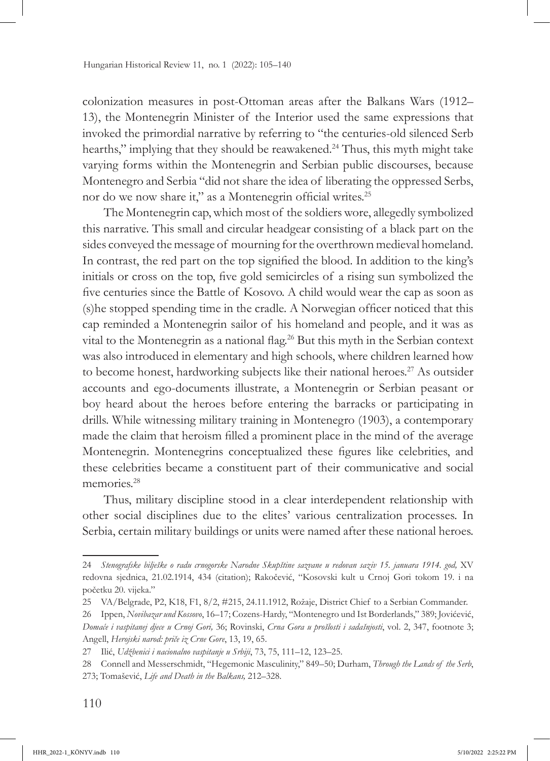colonization measures in post-Ottoman areas after the Balkans Wars (1912– 13), the Montenegrin Minister of the Interior used the same expressions that invoked the primordial narrative by referring to "the centuries-old silenced Serb hearths," implying that they should be reawakened.<sup>24</sup> Thus, this myth might take varying forms within the Montenegrin and Serbian public discourses, because Montenegro and Serbia "did not share the idea of liberating the oppressed Serbs, nor do we now share it," as a Montenegrin official writes.<sup>25</sup>

The Montenegrin cap, which most of the soldiers wore, allegedly symbolized this narrative. This small and circular headgear consisting of a black part on the sides conveyed the message of mourning for the overthrown medieval homeland. In contrast, the red part on the top signified the blood. In addition to the king's initials or cross on the top, five gold semicircles of a rising sun symbolized the five centuries since the Battle of Kosovo. A child would wear the cap as soon as (s)he stopped spending time in the cradle. A Norwegian officer noticed that this cap reminded a Montenegrin sailor of his homeland and people, and it was as vital to the Montenegrin as a national flag.<sup>26</sup> But this myth in the Serbian context was also introduced in elementary and high schools, where children learned how to become honest, hardworking subjects like their national heroes.<sup>27</sup> As outsider accounts and ego-documents illustrate, a Montenegrin or Serbian peasant or boy heard about the heroes before entering the barracks or participating in drills. While witnessing military training in Montenegro (1903), a contemporary made the claim that heroism filled a prominent place in the mind of the average Montenegrin. Montenegrins conceptualized these figures like celebrities, and these celebrities became a constituent part of their communicative and social memories<sup>28</sup>

Thus, military discipline stood in a clear interdependent relationship with other social disciplines due to the elites' various centralization processes. In Serbia, certain military buildings or units were named after these national heroes.

<sup>24</sup> *Stenografske bilješke o radu crnogorske Narodne Skupštine sazvane u redovan saziv 15. januara 1914. god,* XV redovna sjednica, 21.02.1914, 434 (citation); Rakočević, "Kosovski kult u Crnoj Gori tokom 19. i na početku 20. vijeka."

<sup>25</sup> VA/Belgrade, P2, K18, F1, 8/2, #215, 24.11.1912, Rožaje, District Chief to a Serbian Commander.

<sup>26</sup> Ippen, *Novibazar und Kossovo*, 16–17; Cozens-Hardy, "Montenegro und Ist Borderlands," 389; Jovićević, *Domaće i vaspitanej djece u Crnoj Gori,* 36; Rovinski, *Crna Gora u prošlosti i sadašnjosti*, vol. 2, 347, footnote 3; Angell, *Herojski narod: priče iz Crne Gore*, 13, 19, 65.

<sup>27</sup> Ilić, *Udžbenici i nacionalno vaspitanje u Srbiji*, 73, 75, 111–12, 123–25.

<sup>28</sup> Connell and Messerschmidt, "Hegemonic Masculinity," 849–50; Durham, *Through the Lands of the Serb*, 273; Tomašević, *Life and Death in the Balkans,* 212–328.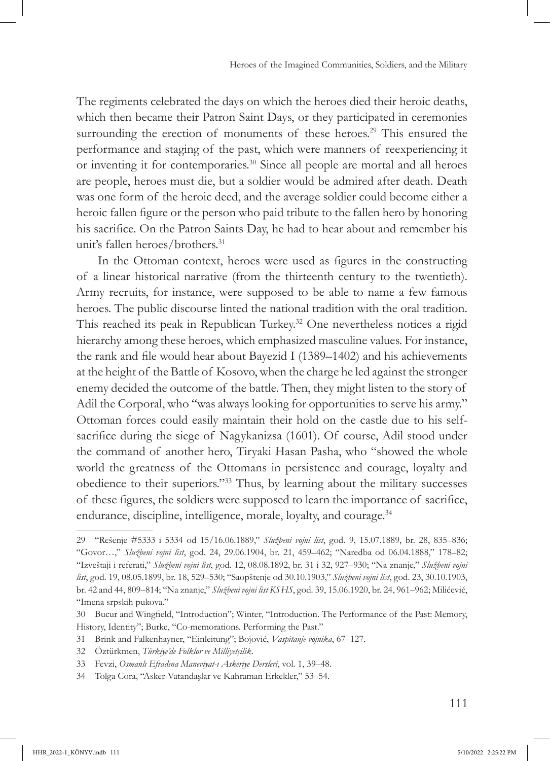The regiments celebrated the days on which the heroes died their heroic deaths, which then became their Patron Saint Days, or they participated in ceremonies surrounding the erection of monuments of these heroes.<sup>29</sup> This ensured the performance and staging of the past, which were manners of reexperiencing it or inventing it for contemporaries.30 Since all people are mortal and all heroes are people, heroes must die, but a soldier would be admired after death. Death was one form of the heroic deed, and the average soldier could become either a heroic fallen figure or the person who paid tribute to the fallen hero by honoring his sacrifice. On the Patron Saints Day, he had to hear about and remember his unit's fallen heroes/brothers.<sup>31</sup>

In the Ottoman context, heroes were used as figures in the constructing of a linear historical narrative (from the thirteenth century to the twentieth). Army recruits, for instance, were supposed to be able to name a few famous heroes. The public discourse linted the national tradition with the oral tradition. This reached its peak in Republican Turkey.<sup>32</sup> One nevertheless notices a rigid hierarchy among these heroes, which emphasized masculine values. For instance, the rank and file would hear about Bayezid I (1389–1402) and his achievements at the height of the Battle of Kosovo, when the charge he led against the stronger enemy decided the outcome of the battle. Then, they might listen to the story of Adil the Corporal, who "was always looking for opportunities to serve his army." Ottoman forces could easily maintain their hold on the castle due to his selfsacrifice during the siege of Nagykanizsa (1601). Of course, Adil stood under the command of another hero, Tiryaki Hasan Pasha, who "showed the whole world the greatness of the Ottomans in persistence and courage, loyalty and obedience to their superiors."33 Thus, by learning about the military successes of these figures, the soldiers were supposed to learn the importance of sacrifice, endurance, discipline, intelligence, morale, loyalty, and courage.<sup>34</sup>

<sup>29</sup> "Rešenje #5333 i 5334 od 15/16.06.1889," *Službeni vojni list*, god. 9, 15.07.1889, br. 28, 835–836; "Govor…," *Službeni vojni list*, god. 24, 29.06.1904, br. 21, 459–462; "Naredba od 06.04.1888," 178–82; "Izveštaji i referati," *Službeni vojni list*, god. 12, 08.08.1892, br. 31 i 32, 927–930; "Na znanje," *Službeni vojni list*, god. 19, 08.05.1899, br. 18, 529–530; "Saopštenje od 30.10.1903," *Službeni vojni list*, god. 23, 30.10.1903, br. 42 and 44, 809–814; "Na znanje," *Službeni vojni list KSHS*, god. 39, 15.06.1920, br. 24, 961–962; Milićević, "Imena srpskih pukova."

<sup>30</sup> Bucur and Wingfield, "Introduction"; Winter, "Introduction. The Performance of the Past: Memory, History, Identity"; Burke, "Co-memorations. Performing the Past."

<sup>31</sup> Brink and Falkenhayner, "Einleitung"; Bojović, *Vaspitanje vojnika*, 67–127.

<sup>32</sup> Öztürkmen, *Türkiye'de Folklor ve Milliyetçilik*.

<sup>33</sup> Fevzi, *Osmanlı Efradına Maneviyat-ı Askeriye Dersleri*, vol. 1, 39–48.

<sup>34</sup> Tolga Cora, "Asker-Vatandaşlar ve Kahraman Erkekler," 53–54.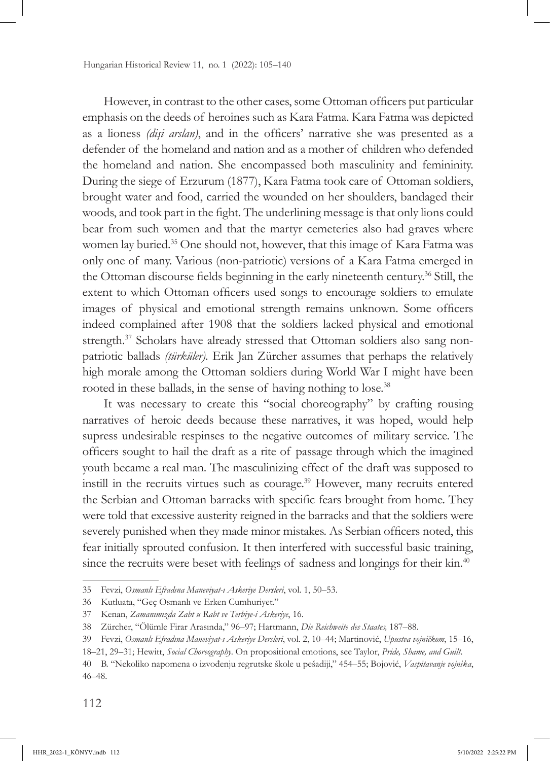However, in contrast to the other cases, some Ottoman officers put particular emphasis on the deeds of heroines such as Kara Fatma. Kara Fatma was depicted as a lioness *(dişi arslan)*, and in the officers' narrative she was presented as a defender of the homeland and nation and as a mother of children who defended the homeland and nation. She encompassed both masculinity and femininity. During the siege of Erzurum (1877), Kara Fatma took care of Ottoman soldiers, brought water and food, carried the wounded on her shoulders, bandaged their woods, and took part in the fight. The underlining message is that only lions could bear from such women and that the martyr cemeteries also had graves where women lay buried.35 One should not, however, that this image of Kara Fatma was only one of many. Various (non-patriotic) versions of a Kara Fatma emerged in the Ottoman discourse fields beginning in the early nineteenth century.<sup>36</sup> Still, the extent to which Ottoman officers used songs to encourage soldiers to emulate images of physical and emotional strength remains unknown. Some officers indeed complained after 1908 that the soldiers lacked physical and emotional strength.<sup>37</sup> Scholars have already stressed that Ottoman soldiers also sang nonpatriotic ballads *(türküler).* Erik Jan Zürcher assumes that perhaps the relatively high morale among the Ottoman soldiers during World War I might have been rooted in these ballads, in the sense of having nothing to lose.<sup>38</sup>

It was necessary to create this "social choreography" by crafting rousing narratives of heroic deeds because these narratives, it was hoped, would help supress undesirable respinses to the negative outcomes of military service. The officers sought to hail the draft as a rite of passage through which the imagined youth became a real man. The masculinizing effect of the draft was supposed to instill in the recruits virtues such as courage.39 However, many recruits entered the Serbian and Ottoman barracks with specific fears brought from home. They were told that excessive austerity reigned in the barracks and that the soldiers were severely punished when they made minor mistakes. As Serbian officers noted, this fear initially sprouted confusion. It then interfered with successful basic training, since the recruits were beset with feelings of sadness and longings for their kin.<sup>40</sup>

<sup>35</sup> Fevzi, *Osmanlı Efradına Maneviyat-ı Askeriye Dersleri*, vol. 1, 50–53.

<sup>36</sup> Kutluata, "Geç Osmanlı ve Erken Cumhuriyet."

<sup>37</sup> Kenan, *Zamanımızda Zabt u Rabt ve Terbiye-i Askeriye*, 16.

<sup>38</sup> Zürcher, "Ölümle Firar Arasında," 96–97; Hartmann, *Die Reichweite des Staates,* 187–88.

<sup>39</sup> Fevzi, *Osmanlı Efradına Maneviyat-ı Askeriye Dersleri*, vol. 2, 10–44; Martinović, *Upustva vojničkom*, 15–16,

<sup>18–21, 29–31;</sup> Hewitt, *Social Choreography*. On propositional emotions, see Taylor, *Pride, Shame, and Guilt*.

<sup>40</sup> B. "Nekoliko napomena o izvođenju regrutske škole u pešadiji," 454–55; Bojović, *Vaspitavanje vojnika*, 46–48.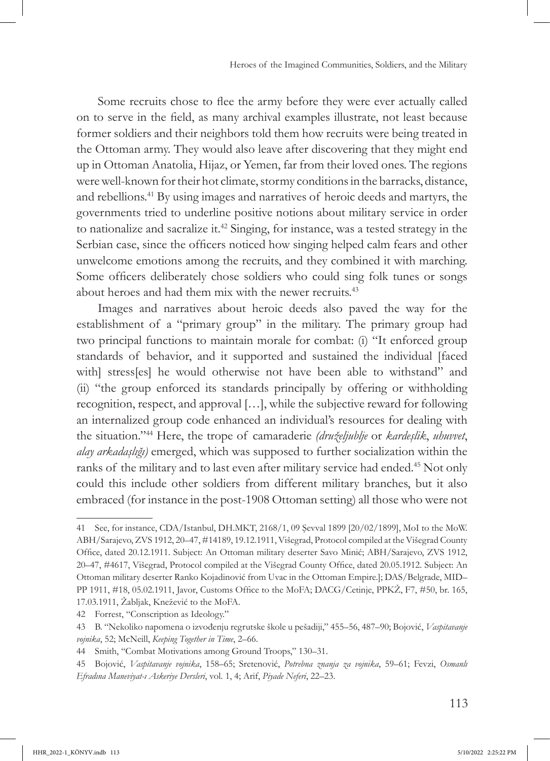Some recruits chose to flee the army before they were ever actually called on to serve in the field, as many archival examples illustrate, not least because former soldiers and their neighbors told them how recruits were being treated in the Ottoman army. They would also leave after discovering that they might end up in Ottoman Anatolia, Hijaz, or Yemen, far from their loved ones. The regions were well-known for their hot climate, stormy conditions in the barracks, distance, and rebellions.41 By using images and narratives of heroic deeds and martyrs, the governments tried to underline positive notions about military service in order to nationalize and sacralize it.42 Singing, for instance, was a tested strategy in the Serbian case, since the officers noticed how singing helped calm fears and other unwelcome emotions among the recruits, and they combined it with marching. Some officers deliberately chose soldiers who could sing folk tunes or songs about heroes and had them mix with the newer recruits.<sup>43</sup>

Images and narratives about heroic deeds also paved the way for the establishment of a "primary group" in the military. The primary group had two principal functions to maintain morale for combat: (i) "It enforced group standards of behavior, and it supported and sustained the individual [faced with] stress[es] he would otherwise not have been able to withstand" and (ii) "the group enforced its standards principally by offering or withholding recognition, respect, and approval […], while the subjective reward for following an internalized group code enhanced an individual's resources for dealing with the situation."44 Here, the trope of camaraderie *(druželjublje* or *kardeşlik*, *uhuvvet*, *alay arkadaşlığı)* emerged, which was supposed to further socialization within the ranks of the military and to last even after military service had ended.<sup>45</sup> Not only could this include other soldiers from different military branches, but it also embraced (for instance in the post-1908 Ottoman setting) all those who were not

<sup>41</sup> See, for instance, CDA/Istanbul, DH.MKT, 2168/1, 09 Şevval 1899 [20/02/1899], MoI to the MoW. ABH/Sarajevo, ZVS 1912, 20–47, #14189, 19.12.1911, Višegrad, Protocol compiled at the Višegrad County Office, dated 20.12.1911. Subject: An Ottoman military deserter Savo Minić; ABH/Sarajevo, ZVS 1912, 20–47, #4617, Višegrad, Protocol compiled at the Višegrad County Office, dated 20.05.1912. Subject: An Ottoman military deserter Ranko Kojadinović from Uvac in the Ottoman Empire.]; DAS/Belgrade, MID– PP 1911, #18, 05.02.1911, Javor, Customs Office to the MoFA; DACG/Cetinje, PPKŽ, F7, #50, br. 165, 17.03.1911, Žabljak, Knežević to the MoFA.

<sup>42</sup> Forrest, "Conscription as Ideology."

<sup>43</sup> B. "Nekoliko napomena o izvođenju regrutske škole u pešadiji," 455–56, 487–90; Bojović, *Vaspitavanje vojnika*, 52; McNeill, *Keeping Together in Time*, 2–66.

<sup>44</sup> Smith, "Combat Motivations among Ground Troops," 130–31.

<sup>45</sup> Bojović, *Vaspitavanje vojnika*, 158–65; Sretenović, *Potrebna znanja za vojnika*, 59–61; Fevzi, *Osmanlı Efradına Maneviyat-ı Askeriye Dersleri*, vol. 1, 4; Arif, *Piyade Neferi*, 22–23.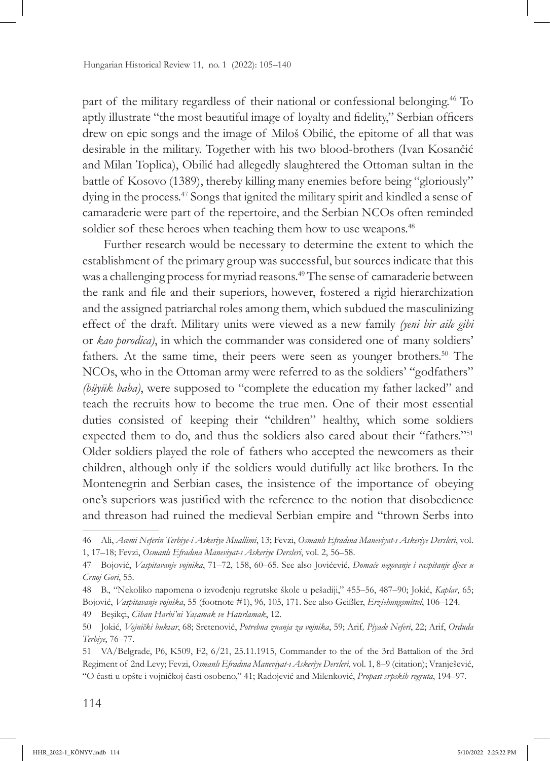part of the military regardless of their national or confessional belonging.46 To aptly illustrate "the most beautiful image of loyalty and fidelity," Serbian officers drew on epic songs and the image of Miloš Obilić, the epitome of all that was desirable in the military. Together with his two blood-brothers (Ivan Kosančić and Milan Toplica), Obilić had allegedly slaughtered the Ottoman sultan in the battle of Kosovo (1389), thereby killing many enemies before being "gloriously" dying in the process.47 Songs that ignited the military spirit and kindled a sense of camaraderie were part of the repertoire, and the Serbian NCOs often reminded soldier sof these heroes when teaching them how to use weapons.<sup>48</sup>

Further research would be necessary to determine the extent to which the establishment of the primary group was successful, but sources indicate that this was a challenging process for myriad reasons.<sup>49</sup> The sense of camaraderie between the rank and file and their superiors, however, fostered a rigid hierarchization and the assigned patriarchal roles among them, which subdued the masculinizing effect of the draft. Military units were viewed as a new family *(yeni bir aile gibi* or *kao porodica)*, in which the commander was considered one of many soldiers' fathers. At the same time, their peers were seen as younger brothers.<sup>50</sup> The NCOs, who in the Ottoman army were referred to as the soldiers' "godfathers" *(büyük baba)*, were supposed to "complete the education my father lacked" and teach the recruits how to become the true men. One of their most essential duties consisted of keeping their "children" healthy, which some soldiers expected them to do, and thus the soldiers also cared about their "fathers."<sup>51</sup> Older soldiers played the role of fathers who accepted the newcomers as their children, although only if the soldiers would dutifully act like brothers. In the Montenegrin and Serbian cases, the insistence of the importance of obeying one's superiors was justified with the reference to the notion that disobedience and threason had ruined the medieval Serbian empire and "thrown Serbs into

49 Beşikçi, *Cihan Harbi'ni Yaşamak ve Hatırlamak*, 12.

<sup>46</sup> Ali, *Acemi Neferin Terbiye-i Askeriye Muallimi*, 13; Fevzi, *Osmanlı Efradına Maneviyat-ı Askeriye Dersleri*, vol. 1, 17–18; Fevzi, *Osmanlı Efradına Maneviyat-ı Askeriye Dersleri*, vol. 2, 56–58.

<sup>47</sup> Bojović, *Vaspitavanje vojnika*, 71–72, 158, 60–65. See also Jovićević, *Domaće negovanje i vaspitanje djece u Crnoj Gori*, 55.

<sup>48</sup> B., "Nekoliko napomena o izvođenju regrutske škole u pešadiji," 455–56, 487–90; Jokić, *Kaplar*, 65; Bojović, *Vaspitavanje vojnika*, 55 (footnote #1), 96, 105, 171. See also Geißler, *Erziehungsmittel*, 106–124.

<sup>50</sup> Jokić, *Vojnički bukvar*, 68; Sretenović, *Potrebna znanja za vojnika*, 59; Arif*, Piyade Neferi*, 22; Arif, *Orduda Terbiye*, 76–77.

<sup>51</sup> VA/Belgrade, P6, K509, F2, 6/21, 25.11.1915, Commander to the of the 3rd Battalion of the 3rd Regiment of 2nd Levy; Fevzi, *Osmanlı Efradına Maneviyat-ı Askeriye Dersleri*, vol. 1, 8–9 (citation); Vranješević, "O časti u opšte i vojničkoj časti osobeno," 41; Radojević and Milenković, *Propast srpskih regruta*, 194–97.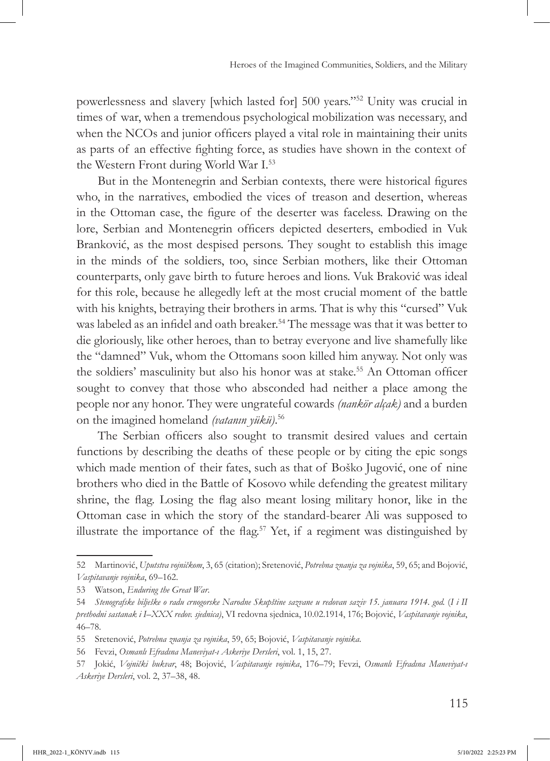powerlessness and slavery [which lasted for] 500 years."52 Unity was crucial in times of war, when a tremendous psychological mobilization was necessary, and when the NCOs and junior officers played a vital role in maintaining their units as parts of an effective fighting force, as studies have shown in the context of the Western Front during World War I.53

But in the Montenegrin and Serbian contexts, there were historical figures who, in the narratives, embodied the vices of treason and desertion, whereas in the Ottoman case, the figure of the deserter was faceless. Drawing on the lore, Serbian and Montenegrin officers depicted deserters, embodied in Vuk Branković, as the most despised persons. They sought to establish this image in the minds of the soldiers, too, since Serbian mothers, like their Ottoman counterparts, only gave birth to future heroes and lions. Vuk Braković was ideal for this role, because he allegedly left at the most crucial moment of the battle with his knights, betraying their brothers in arms. That is why this "cursed" Vuk was labeled as an infidel and oath breaker.<sup>54</sup> The message was that it was better to die gloriously, like other heroes, than to betray everyone and live shamefully like the "damned" Vuk, whom the Ottomans soon killed him anyway. Not only was the soldiers' masculinity but also his honor was at stake.<sup>55</sup> An Ottoman officer sought to convey that those who absconded had neither a place among the people nor any honor. They were ungrateful cowards *(nankör alçak)* and a burden on the imagined homeland *(vatanın yükü)*. 56

The Serbian officers also sought to transmit desired values and certain functions by describing the deaths of these people or by citing the epic songs which made mention of their fates, such as that of Boško Jugović, one of nine brothers who died in the Battle of Kosovo while defending the greatest military shrine, the flag. Losing the flag also meant losing military honor, like in the Ottoman case in which the story of the standard-bearer Ali was supposed to illustrate the importance of the flag.<sup>57</sup> Yet, if a regiment was distinguished by

<sup>52</sup> Martinović, *Uputstva vojničkom*, 3, 65 (citation); Sretenović, *Potrebna znanja za vojnika*, 59, 65; and Bojović, *Vaspitavanje vojnika*, 69–162.

<sup>53</sup> Watson, *Enduring the Great War*.

<sup>54</sup> *Stenografske bilješke o radu crnogorske Narodne Skupštine sazvane u redovan saziv 15. januara 1914. god.* (*I i II prethodni sastanak i I*–*XXX redov. sjednica)*, VI redovna sjednica, 10.02.1914, 176; Bojović, *Vaspitavanje vojnika*, 46–78.

<sup>55</sup> Sretenović, *Potrebna znanja za vojnika*, 59, 65; Bojović, *Vaspitavanje vojnika*.

<sup>56</sup> Fevzi, *Osmanlı Efradına Maneviyat-ı Askeriye Dersleri*, vol. 1, 15, 27.

<sup>57</sup> Jokić, *Vojnički bukvar*, 48; Bojović, *Vaspitavanje vojnika*, 176–79; Fevzi, *Osmanlı Efradına Maneviyat-ı Askeriye Dersleri*, vol. 2, 37–38, 48.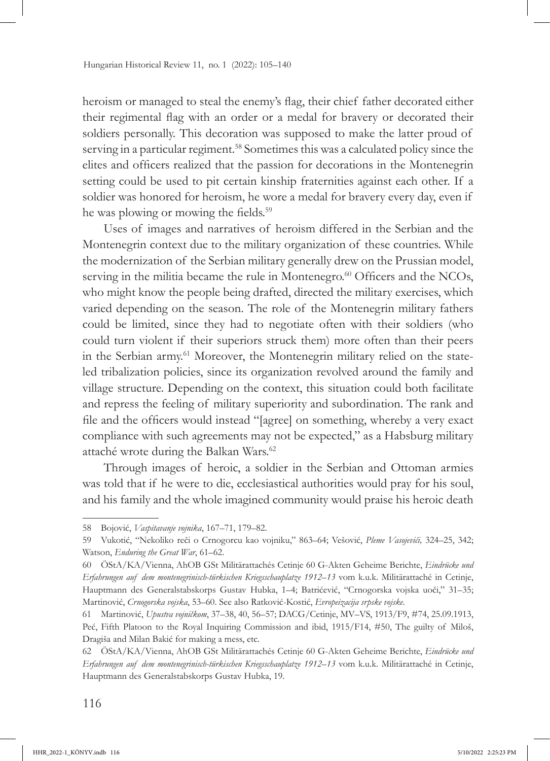heroism or managed to steal the enemy's flag, their chief father decorated either their regimental flag with an order or a medal for bravery or decorated their soldiers personally. This decoration was supposed to make the latter proud of serving in a particular regiment.58 Sometimes this was a calculated policy since the elites and officers realized that the passion for decorations in the Montenegrin setting could be used to pit certain kinship fraternities against each other. If a soldier was honored for heroism, he wore a medal for bravery every day, even if he was plowing or mowing the fields.<sup>59</sup>

Uses of images and narratives of heroism differed in the Serbian and the Montenegrin context due to the military organization of these countries. While the modernization of the Serbian military generally drew on the Prussian model, serving in the militia became the rule in Montenegro.<sup>60</sup> Officers and the NCOs, who might know the people being drafted, directed the military exercises, which varied depending on the season. The role of the Montenegrin military fathers could be limited, since they had to negotiate often with their soldiers (who could turn violent if their superiors struck them) more often than their peers in the Serbian army.<sup>61</sup> Moreover, the Montenegrin military relied on the stateled tribalization policies, since its organization revolved around the family and village structure. Depending on the context, this situation could both facilitate and repress the feeling of military superiority and subordination. The rank and file and the officers would instead "[agree] on something, whereby a very exact compliance with such agreements may not be expected," as a Habsburg military attaché wrote during the Balkan Wars.<sup>62</sup>

Through images of heroic, a soldier in the Serbian and Ottoman armies was told that if he were to die, ecclesiastical authorities would pray for his soul, and his family and the whole imagined community would praise his heroic death

<sup>58</sup> Bojović, *Vaspitavanje vojnika*, 167–71, 179–82.

<sup>59</sup> Vukotić, "Nekoliko reči o Crnogorcu kao vojniku," 863–64; Vešović, *Pleme Vasojevići,* 324–25, 342; Watson, *Enduring the Great War*, 61–62.

<sup>60</sup> ÖStA/KA/Vienna, AhOB GSt Militärattachés Cetinje 60 G-Akten Geheime Berichte, *Eindrücke und Erfahrungen auf dem montenegrinisch-türkischen Kriegsschauplatze 1912–13* vom k.u.k. Militärattaché in Cetinje, Hauptmann des Generalstabskorps Gustav Hubka, 1–4; Batrićević, "Crnogorska vojska uoči," 31–35; Martinović, *Crnogorska vojska*, 53–60. See also Ratković-Kostić, *Evropeizacija srpske vojske*.

<sup>61</sup> Martinović, *Upustva vojničkom*, 37–38, 40, 56–57; DACG/Cetinje, MV–VS, 1913/F9, #74, 25.09.1913, Peć, Fifth Platoon to the Royal Inquiring Commission and ibid, 1915/F14, #50, The guilty of Miloš, Dragiša and Milan Bakić for making a mess, etc.

<sup>62</sup> ÖStA/KA/Vienna, AhOB GSt Militärattachés Cetinje 60 G-Akten Geheime Berichte, *Eindrücke und Erfahrungen auf dem montenegrinisch-türkischen Kriegsschauplatze 1912–13* vom k.u.k. Militärattaché in Cetinje, Hauptmann des Generalstabskorps Gustav Hubka, 19.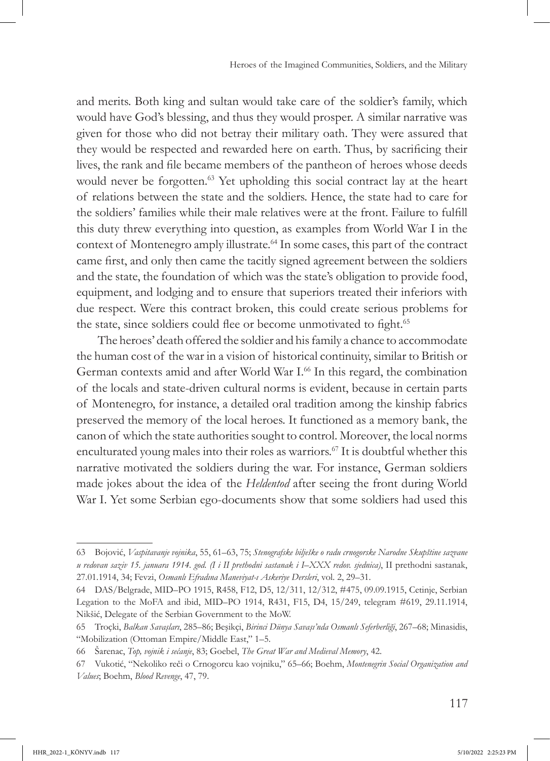and merits. Both king and sultan would take care of the soldier's family, which would have God's blessing, and thus they would prosper. A similar narrative was given for those who did not betray their military oath. They were assured that they would be respected and rewarded here on earth. Thus, by sacrificing their lives, the rank and file became members of the pantheon of heroes whose deeds would never be forgotten.<sup>63</sup> Yet upholding this social contract lay at the heart of relations between the state and the soldiers. Hence, the state had to care for the soldiers' families while their male relatives were at the front. Failure to fulfill this duty threw everything into question, as examples from World War I in the context of Montenegro amply illustrate.<sup>64</sup> In some cases, this part of the contract came first, and only then came the tacitly signed agreement between the soldiers and the state, the foundation of which was the state's obligation to provide food, equipment, and lodging and to ensure that superiors treated their inferiors with due respect. Were this contract broken, this could create serious problems for the state, since soldiers could flee or become unmotivated to fight.<sup>65</sup>

The heroes' death offered the soldier and his family a chance to accommodate the human cost of the war in a vision of historical continuity, similar to British or German contexts amid and after World War I.<sup>66</sup> In this regard, the combination of the locals and state-driven cultural norms is evident, because in certain parts of Montenegro, for instance, a detailed oral tradition among the kinship fabrics preserved the memory of the local heroes. It functioned as a memory bank, the canon of which the state authorities sought to control. Moreover, the local norms enculturated young males into their roles as warriors.<sup>67</sup> It is doubtful whether this narrative motivated the soldiers during the war. For instance, German soldiers made jokes about the idea of the *Heldentod* after seeing the front during World War I. Yet some Serbian ego-documents show that some soldiers had used this

<sup>63</sup> Bojović, *Vaspitavanje vojnika*, 55, 61*–*63, 75; *Stenografske bilješke o radu crnogorske Narodne Skupštine sazvane u redovan saziv 15. januara 1914. god. (I i II prethodni sastanak i I–XXX redov. sjednica)*, II prethodni sastanak, 27.01.1914, 34; Fevzi, *Osmanlı Efradına Maneviyat-ı Askeriye Dersleri*, vol. 2, 29–31.

<sup>64</sup> DAS/Belgrade, MID*–*PO 1915, R458, F12, D5, 12/311, 12/312, #475, 09.09.1915, Cetinje, Serbian Legation to the MoFA and ibid, MID–PO 1914, R431, F15, D4, 15/249, telegram #619, 29.11.1914, Nikšić, Delegate of the Serbian Government to the MoW.

<sup>65</sup> Troçki, *Balkan Savaşları*, 285–86; Beşikçi, *Birinci Dünya Savaşı'nda Osmanlı Seferberliği*, 267–68; Minasidis, "Mobilization (Ottoman Empire/Middle East," 1–5.

<sup>66</sup> Šarenac, *Top, vojnik i sećanje*, 83; Goebel, *The Great War and Medieval Memory*, 42.

<sup>67</sup> Vukotić, "Nekoliko reči o Crnogorcu kao vojniku," 65–66; Boehm, *Montenegrin Social Organization and Values*; Boehm, *Blood Revenge*, 47, 79.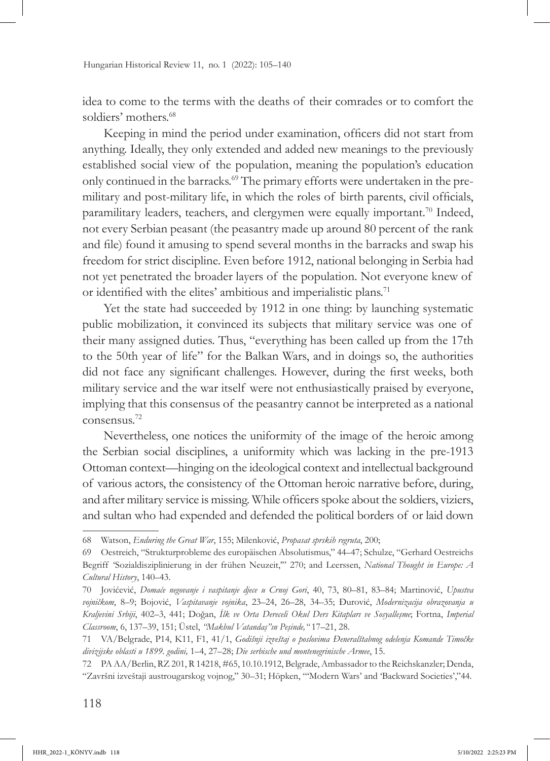idea to come to the terms with the deaths of their comrades or to comfort the soldiers' mothers.<sup>68</sup>

Keeping in mind the period under examination, officers did not start from anything. Ideally, they only extended and added new meanings to the previously established social view of the population, meaning the population's education only continued in the barracks.<sup>69</sup> The primary efforts were undertaken in the premilitary and post-military life, in which the roles of birth parents, civil officials, paramilitary leaders, teachers, and clergymen were equally important.<sup>70</sup> Indeed, not every Serbian peasant (the peasantry made up around 80 percent of the rank and file) found it amusing to spend several months in the barracks and swap his freedom for strict discipline. Even before 1912, national belonging in Serbia had not yet penetrated the broader layers of the population. Not everyone knew of or identified with the elites' ambitious and imperialistic plans.<sup>71</sup>

Yet the state had succeeded by 1912 in one thing: by launching systematic public mobilization, it convinced its subjects that military service was one of their many assigned duties. Thus, "everything has been called up from the 17th to the 50th year of life" for the Balkan Wars, and in doings so, the authorities did not face any significant challenges. However, during the first weeks, both military service and the war itself were not enthusiastically praised by everyone, implying that this consensus of the peasantry cannot be interpreted as a national consensus.72

Nevertheless, one notices the uniformity of the image of the heroic among the Serbian social disciplines, a uniformity which was lacking in the pre-1913 Ottoman context—hinging on the ideological context and intellectual background of various actors, the consistency of the Ottoman heroic narrative before, during, and after military service is missing. While officers spoke about the soldiers, viziers, and sultan who had expended and defended the political borders of or laid down

<sup>68</sup> Watson, *Enduring the Great War*, 155; Milenković, *Propasat sprskih regruta*, 200;

<sup>69</sup> Oestreich, "Strukturprobleme des europäischen Absolutismus," 44–47; Schulze, "Gerhard Oestreichs Begriff 'Sozialdisziplinierung in der frühen Neuzeit,'" 270; and Leerssen, *National Thought in Europe: A Cultural History*, 140–43.

<sup>70</sup> Jovićević, *Domaće negovanje i vaspitanje djece u Crnoj Gori*, 40, 73, 80–81, 83–84; Martinović, *Upustva vojničkom*, 8–9; Bojović, *Vaspitavanje vojnika*, 23–24, 26–28, 34–35; Đurović, *Modernizacija obrazovanja u Kraljevini Srbiji*, 402–3, 441; Doğan, *İlk ve Orta Dereceli Okul Ders Kitapları ve Sosyalleşme*; Fortna, *Imperial Classroom*, 6, 137–39, 151; Üstel, *"Makbul Vatandaş"ın Peşinde,"* 17–21, 28.

<sup>71</sup> VA/Belgrade, P14, K11, F1, 41/1, *Godišnji izveštaj o poslovima Đeneralštabnog odelenja Komande Timočke divizijske oblasti u 1899. godini,* 1–4, 27–28; *Die serbische und montenegrinische Armee*, 15.

<sup>72</sup> PA AA/Berlin, RZ 201, R 14218, #65, 10.10.1912, Belgrade, Ambassador to the Reichskanzler; Denda, "Završni izveštaji austrougarskog vojnog," 30–31; Höpken, "'Modern Wars' and 'Backward Societies',"44.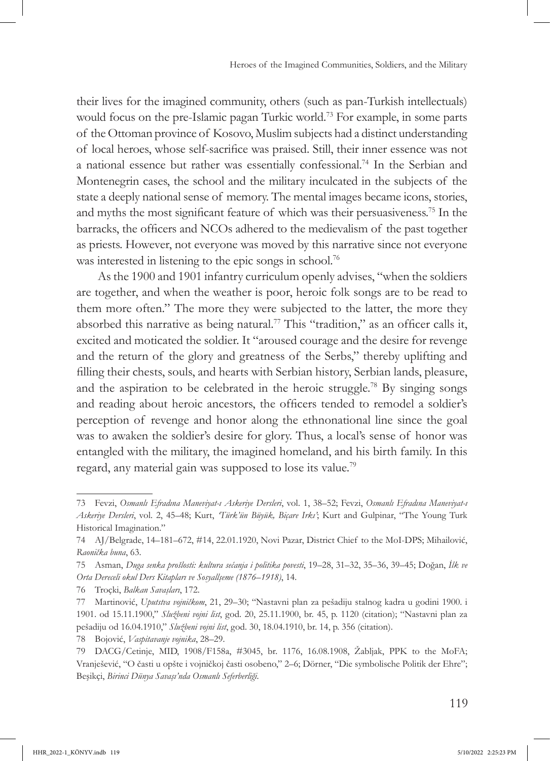their lives for the imagined community, others (such as pan-Turkish intellectuals) would focus on the pre-Islamic pagan Turkic world.<sup>73</sup> For example, in some parts of the Ottoman province of Kosovo, Muslim subjects had a distinct understanding of local heroes, whose self-sacrifice was praised. Still, their inner essence was not a national essence but rather was essentially confessional.74 In the Serbian and Montenegrin cases, the school and the military inculcated in the subjects of the state a deeply national sense of memory. The mental images became icons, stories, and myths the most significant feature of which was their persuasiveness.75 In the barracks, the officers and NCOs adhered to the medievalism of the past together as priests. However, not everyone was moved by this narrative since not everyone was interested in listening to the epic songs in school.<sup>76</sup>

As the 1900 and 1901 infantry curriculum openly advises, "when the soldiers are together, and when the weather is poor, heroic folk songs are to be read to them more often." The more they were subjected to the latter, the more they absorbed this narrative as being natural.77 This "tradition," as an officer calls it, excited and moticated the soldier. It "aroused courage and the desire for revenge and the return of the glory and greatness of the Serbs," thereby uplifting and filling their chests, souls, and hearts with Serbian history, Serbian lands, pleasure, and the aspiration to be celebrated in the heroic struggle.<sup>78</sup> By singing songs and reading about heroic ancestors, the officers tended to remodel a soldier's perception of revenge and honor along the ethnonational line since the goal was to awaken the soldier's desire for glory. Thus, a local's sense of honor was entangled with the military, the imagined homeland, and his birth family. In this regard, any material gain was supposed to lose its value.79

<sup>73</sup> Fevzi, *Osmanlı Efradına Maneviyat-ı Askeriye Dersleri*, vol. 1, 38–52; Fevzi, *Osmanlı Efradına Maneviyat-ı Askeriye Dersleri*, vol. 2, 45–48; Kurt, *'Türk'ün Büyük, Biçare Irkı'*; Kurt and Gulpinar, "The Young Turk Historical Imagination."

<sup>74</sup> AJ/Belgrade, 14–181–672, #14, 22.01.1920, Novi Pazar, District Chief to the MoI-DPS; Mihailović, *Raonička buna*, 63.

<sup>75</sup> Asman, *Duga senka prošlosti: kultura sećanja i politika povesti*, 19–28, 31–32, 35–36, 39–45; Doğan, *İlk ve Orta Dereceli okul Ders Kitapları ve Sosyallşeme (1876–1918)*, 14.

<sup>76</sup> Troçki, *Balkan Savaşları*, 172.

<sup>77</sup> Martinović, *Uputstva vojničkom*, 21, 29–30; "Nastavni plan za pešadiju stalnog kadra u godini 1900. i 1901. od 15.11.1900," *Službeni vojni list*, god. 20, 25.11.1900, br. 45, p. 1120 (citation); "Nastavni plan za pešadiju od 16.04.1910," *Službeni vojni list*, god. 30, 18.04.1910, br. 14, p. 356 (citation).

<sup>78</sup> Bojović, *Vaspitavanje vojnika*, 28–29.

<sup>79</sup> DACG/Cetinje, MID, 1908/F158a, #3045, br. 1176, 16.08.1908, Žabljak, PPK to the MoFA; Vranješević, "O časti u opšte i vojničkoj časti osobeno," 2–6; Dörner, "Die symbolische Politik der Ehre"; Beşikçi, *Birinci Dünya Savaşı'nda Osmanlı Seferberliği*.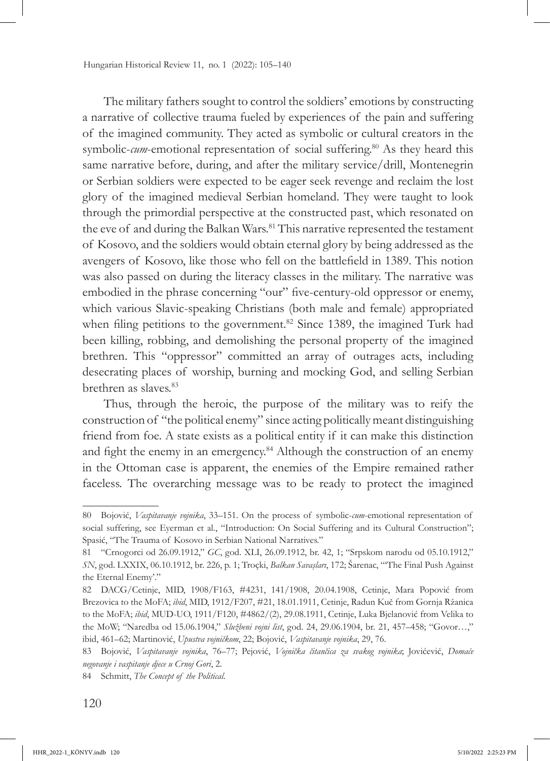The military fathers sought to control the soldiers' emotions by constructing a narrative of collective trauma fueled by experiences of the pain and suffering of the imagined community. They acted as symbolic or cultural creators in the symbolic-*cum*-emotional representation of social suffering.<sup>80</sup> As they heard this same narrative before, during, and after the military service/drill, Montenegrin or Serbian soldiers were expected to be eager seek revenge and reclaim the lost glory of the imagined medieval Serbian homeland. They were taught to look through the primordial perspective at the constructed past, which resonated on the eve of and during the Balkan Wars.<sup>81</sup> This narrative represented the testament of Kosovo, and the soldiers would obtain eternal glory by being addressed as the avengers of Kosovo, like those who fell on the battlefield in 1389. This notion was also passed on during the literacy classes in the military. The narrative was embodied in the phrase concerning "our" five-century-old oppressor or enemy, which various Slavic-speaking Christians (both male and female) appropriated when filing petitions to the government.<sup>82</sup> Since 1389, the imagined Turk had been killing, robbing, and demolishing the personal property of the imagined brethren. This "oppressor" committed an array of outrages acts, including desecrating places of worship, burning and mocking God, and selling Serbian brethren as slaves.83

Thus, through the heroic, the purpose of the military was to reify the construction of "the political enemy" since acting politically meant distinguishing friend from foe. A state exists as a political entity if it can make this distinction and fight the enemy in an emergency.<sup>84</sup> Although the construction of an enemy in the Ottoman case is apparent, the enemies of the Empire remained rather faceless. The overarching message was to be ready to protect the imagined

<sup>80</sup> Bojović, *Vaspitavanje vojnika*, 33–151. On the process of symbolic-*cum*-emotional representation of social suffering, see Eyerman et al., "Introduction: On Social Suffering and its Cultural Construction"; Spasić, "The Trauma of Kosovo in Serbian National Narratives."

<sup>81</sup> "Crnogorci od 26.09.1912," *GC*, god. XLI, 26.09.1912, br. 42, 1; "Srpskom narodu od 05.10.1912," *SN*, god. LXXIX, 06.10.1912, br. 226, p. 1; Troçki, *Balkan Savaşları*, 172; Šarenac, "'The Final Push Against the Eternal Enemy'."

<sup>82</sup> DACG/Cetinje, MID, 1908/F163, #4231, 141/1908, 20.04.1908, Cetinje, Mara Popović from Brezovica to the MoFA; *ibid*, MID, 1912/F207, #21, 18.01.1911, Cetinje, Radun Kuč from Gornja Ržanica to the MoFA; *ibid*, MUD-UO, 1911/F120, #4862/(2), 29.08.1911, Cetinje, Luka Bjelanović from Velika to the MoW; "Naredba od 15.06.1904," *Službeni vojni list*, god. 24, 29.06.1904, br. 21, 457–458; "Govor…," ibid, 461–62; Martinović, *Upustva vojničkom*, 22; Bojović, *Vaspitavanje vojnika*, 29, 76.

<sup>83</sup> Bojović, *Vaspitavanje vojnika*, 76–77; Pejović, *Vojnička čitančica za svakog vojnika*; Jovićević, *Domaće negovanje i vaspitanje djece u Crnoj Gori*, 2.

<sup>84</sup> Schmitt, *The Concept of the Political*.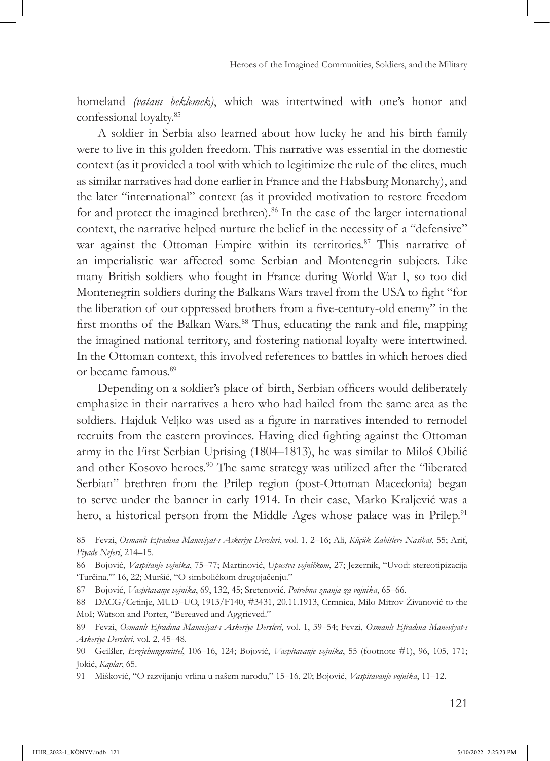homeland *(vatanı beklemek)*, which was intertwined with one's honor and confessional loyalty.85

A soldier in Serbia also learned about how lucky he and his birth family were to live in this golden freedom. This narrative was essential in the domestic context (as it provided a tool with which to legitimize the rule of the elites, much as similar narratives had done earlier in France and the Habsburg Monarchy), and the later "international" context (as it provided motivation to restore freedom for and protect the imagined brethren).<sup>86</sup> In the case of the larger international context, the narrative helped nurture the belief in the necessity of a "defensive" war against the Ottoman Empire within its territories.<sup>87</sup> This narrative of an imperialistic war affected some Serbian and Montenegrin subjects. Like many British soldiers who fought in France during World War I, so too did Montenegrin soldiers during the Balkans Wars travel from the USA to fight "for the liberation of our oppressed brothers from a five-century-old enemy" in the first months of the Balkan Wars.<sup>88</sup> Thus, educating the rank and file, mapping the imagined national territory, and fostering national loyalty were intertwined. In the Ottoman context, this involved references to battles in which heroes died or became famous.89

Depending on a soldier's place of birth, Serbian officers would deliberately emphasize in their narratives a hero who had hailed from the same area as the soldiers. Hajduk Veljko was used as a figure in narratives intended to remodel recruits from the eastern provinces. Having died fighting against the Ottoman army in the First Serbian Uprising (1804–1813), he was similar to Miloš Obilić and other Kosovo heroes.<sup>90</sup> The same strategy was utilized after the "liberated Serbian" brethren from the Prilep region (post-Ottoman Macedonia) began to serve under the banner in early 1914. In their case, Marko Kraljević was a hero, a historical person from the Middle Ages whose palace was in Prilep.<sup>91</sup>

<sup>85</sup> Fevzi, *Osmanlı Efradına Maneviyat-ı Askeriye Dersleri*, vol. 1, 2–16; Ali, *Küçük Zabitlere Nasihat*, 55; Arif, *Piyade Neferi*, 214–15.

<sup>86</sup> Bojović, *Vaspitanje vojnika*, 75–77; Martinović, *Upustva vojničkom*, 27; Jezernik, "Uvod: stereotipizacija 'Turčina,'" 16, 22; Muršić, "O simboličkom drugojačenju."

<sup>87</sup> Bojović, *Vaspitavanje vojnika*, 69, 132, 45; Sretenović, *Potrebna znanja za vojnika*, 65–66.

<sup>88</sup> DACG/Cetinje, MUD–UO, 1913/F140, #3431, 20.11.1913, Crmnica, Milo Mitrov Živanović to the MoI; Watson and Porter, "Bereaved and Aggrieved."

<sup>89</sup> Fevzi, *Osmanlı Efradına Maneviyat-ı Askeriye Dersleri*, vol. 1, 39–54; Fevzi, *Osmanlı Efradına Maneviyat-ı Askeriye Dersleri*, vol. 2, 45–48.

<sup>90</sup> Geißler, *Erziehungsmittel*, 106–16, 124; Bojović, *Vaspitavanje vojnika*, 55 (footnote #1), 96, 105, 171; Jokić, *Kaplar*, 65.

<sup>91</sup> Mišković, "O razvijanju vrlina u našem narodu," 15–16, 20; Bojović, *Vaspitavanje vojnika*, 11–12.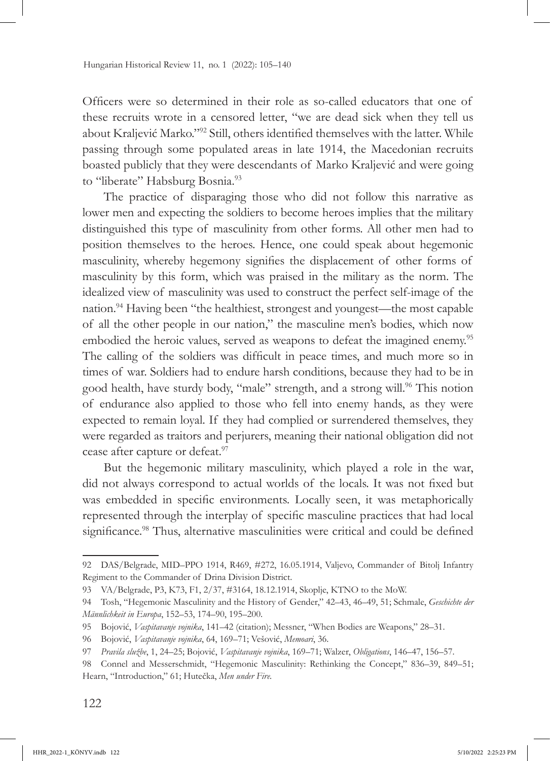Officers were so determined in their role as so-called educators that one of these recruits wrote in a censored letter, "we are dead sick when they tell us about Kraljević Marko."<sup>92</sup> Still, others identified themselves with the latter. While passing through some populated areas in late 1914, the Macedonian recruits boasted publicly that they were descendants of Marko Kraljević and were going to "liberate" Habsburg Bosnia.<sup>93</sup>

The practice of disparaging those who did not follow this narrative as lower men and expecting the soldiers to become heroes implies that the military distinguished this type of masculinity from other forms. All other men had to position themselves to the heroes. Hence, one could speak about hegemonic masculinity, whereby hegemony signifies the displacement of other forms of masculinity by this form, which was praised in the military as the norm. The idealized view of masculinity was used to construct the perfect self-image of the nation.94 Having been "the healthiest, strongest and youngest—the most capable of all the other people in our nation," the masculine men's bodies, which now embodied the heroic values, served as weapons to defeat the imagined enemy.<sup>95</sup> The calling of the soldiers was difficult in peace times, and much more so in times of war. Soldiers had to endure harsh conditions, because they had to be in good health, have sturdy body, "male" strength, and a strong will.<sup>96</sup> This notion of endurance also applied to those who fell into enemy hands, as they were expected to remain loyal. If they had complied or surrendered themselves, they were regarded as traitors and perjurers, meaning their national obligation did not cease after capture or defeat.<sup>97</sup>

But the hegemonic military masculinity, which played a role in the war, did not always correspond to actual worlds of the locals. It was not fixed but was embedded in specific environments. Locally seen, it was metaphorically represented through the interplay of specific masculine practices that had local significance.<sup>98</sup> Thus, alternative masculinities were critical and could be defined

<sup>92</sup> DAS/Belgrade, MID–PPO 1914, R469, #272, 16.05.1914, Valjevo, Commander of Bitolj Infantry Regiment to the Commander of Drina Division District.

<sup>93</sup> VA/Belgrade, P3, K73, F1, 2/37, #3164, 18.12.1914, Skoplje, KTNO to the MoW.

<sup>94</sup> Tosh, "Hegemonic Masculinity and the History of Gender," 42–43, 46–49, 51; Schmale, *Geschichte der Männlichkeit in Europa*, 152–53, 174–90, 195–200.

<sup>95</sup> Bojović, *Vaspitavanje vojnika*, 141–42 (citation); Messner, "When Bodies are Weapons," 28–31.

<sup>96</sup> Bojović, *Vaspitavanje vojnika*, 64, 169–71; Vešović, *Memoari*, 36.

<sup>97</sup> *Pravila službe*, 1, 24–25; Bojović, *Vaspitavanje vojnika*, 169–71; Walzer, *Obligations*, 146–47, 156–57.

<sup>98</sup> Connel and Messerschmidt, "Hegemonic Masculinity: Rethinking the Concept," 836–39, 849–51; Hearn, "Introduction," 61; Hutečka, *Men under Fire.*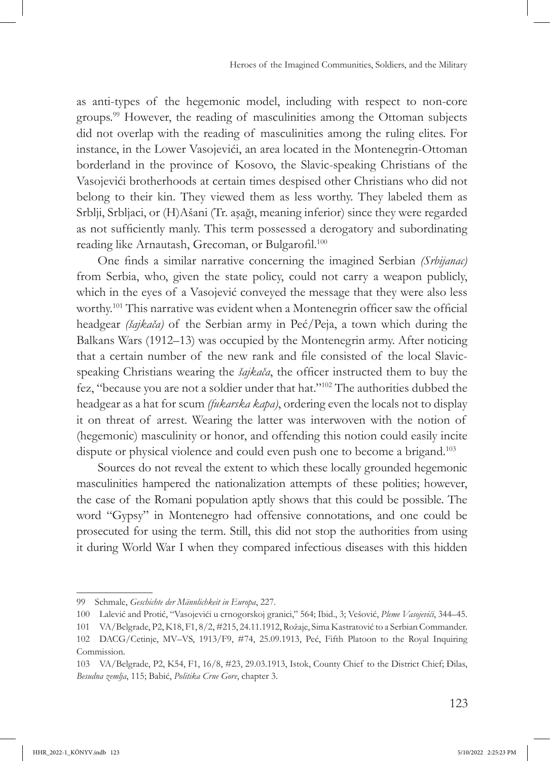as anti-types of the hegemonic model, including with respect to non-core groups.99 However, the reading of masculinities among the Ottoman subjects did not overlap with the reading of masculinities among the ruling elites. For instance, in the Lower Vasojevići, an area located in the Montenegrin-Ottoman borderland in the province of Kosovo, the Slavic-speaking Christians of the Vasojevići brotherhoods at certain times despised other Christians who did not belong to their kin. They viewed them as less worthy. They labeled them as Srblji, Srbljaci, or (H)Ašani (Tr. aşağı, meaning inferior) since they were regarded as not sufficiently manly. This term possessed a derogatory and subordinating reading like Arnautash, Grecoman, or Bulgarofil.<sup>100</sup>

One finds a similar narrative concerning the imagined Serbian *(Srbijanac)* from Serbia, who, given the state policy, could not carry a weapon publicly, which in the eyes of a Vasojević conveyed the message that they were also less worthy.101 This narrative was evident when a Montenegrin officer saw the official headgear *(šajkača)* of the Serbian army in Peć/Peja, a town which during the Balkans Wars (1912–13) was occupied by the Montenegrin army. After noticing that a certain number of the new rank and file consisted of the local Slavicspeaking Christians wearing the *šajkača*, the officer instructed them to buy the fez, "because you are not a soldier under that hat."102 The authorities dubbed the headgear as a hat for scum *(fukarska kapa)*, ordering even the locals not to display it on threat of arrest. Wearing the latter was interwoven with the notion of (hegemonic) masculinity or honor, and offending this notion could easily incite dispute or physical violence and could even push one to become a brigand.<sup>103</sup>

Sources do not reveal the extent to which these locally grounded hegemonic masculinities hampered the nationalization attempts of these polities; however, the case of the Romani population aptly shows that this could be possible. The word "Gypsy" in Montenegro had offensive connotations, and one could be prosecuted for using the term. Still, this did not stop the authorities from using it during World War I when they compared infectious diseases with this hidden

<sup>99</sup> Schmale, *Geschichte der Männlichkeit in Europa*, 227.

<sup>100</sup> Lalević and Protić, "Vasojevići u crnogorskoj granici," 564; Ibid., 3; Vešović, *Pleme Vasojevići*, 344–45.

<sup>101</sup> VA/Belgrade, P2, K18, F1, 8/2, #215, 24.11.1912, Rožaje, Sima Kastratović to a Serbian Commander.

<sup>102</sup> DACG/Cetinje, MV–VS, 1913/F9, #74, 25.09.1913, Peć, Fifth Platoon to the Royal Inquiring Commission.

<sup>103</sup> VA/Belgrade, P2, K54, F1, 16/8, #23, 29.03.1913, Istok, County Chief to the District Chief; Đilas, *Besudna zemlja*, 115; Babić, *Politika Crne Gore*, chapter 3.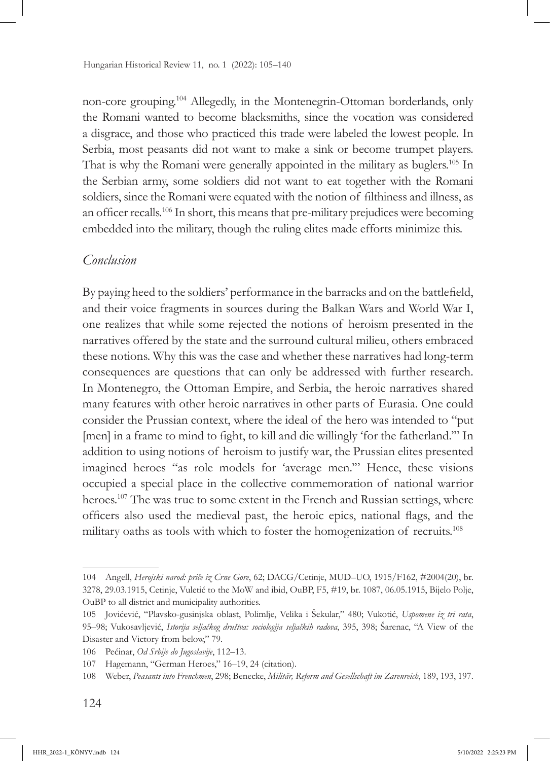non-core grouping.104 Allegedly, in the Montenegrin-Ottoman borderlands, only the Romani wanted to become blacksmiths, since the vocation was considered a disgrace, and those who practiced this trade were labeled the lowest people. In Serbia, most peasants did not want to make a sink or become trumpet players. That is why the Romani were generally appointed in the military as buglers.105 In the Serbian army, some soldiers did not want to eat together with the Romani soldiers, since the Romani were equated with the notion of filthiness and illness, as an officer recalls.<sup>106</sup> In short, this means that pre-military prejudices were becoming embedded into the military, though the ruling elites made efforts minimize this.

## *Conclusion*

By paying heed to the soldiers' performance in the barracks and on the battlefield, and their voice fragments in sources during the Balkan Wars and World War I, one realizes that while some rejected the notions of heroism presented in the narratives offered by the state and the surround cultural milieu, others embraced these notions. Why this was the case and whether these narratives had long-term consequences are questions that can only be addressed with further research. In Montenegro, the Ottoman Empire, and Serbia, the heroic narratives shared many features with other heroic narratives in other parts of Eurasia. One could consider the Prussian context, where the ideal of the hero was intended to "put [men] in a frame to mind to fight, to kill and die willingly 'for the fatherland.'" In addition to using notions of heroism to justify war, the Prussian elites presented imagined heroes "as role models for 'average men.'" Hence, these visions occupied a special place in the collective commemoration of national warrior heroes.<sup>107</sup> The was true to some extent in the French and Russian settings, where officers also used the medieval past, the heroic epics, national flags, and the military oaths as tools with which to foster the homogenization of recruits.108

<sup>104</sup> Angell, *Herojski narod: priče iz Crne Gore*, 62; DACG/Cetinje, MUD–UO, 1915/F162, #2004(20), br. 3278, 29.03.1915, Cetinje, Vuletić to the MoW and ibid, OuBP, F5, #19, br. 1087, 06.05.1915, Bijelo Polje, OuBP to all district and municipality authorities.

<sup>105</sup> Jovićević, "Plavsko-gusinjska oblast, Polimlje, Velika i Šekular," 480; Vukotić, *Uspomene iz tri rata*, 95–98; Vukosavljević, *Istorija seljačkog društva: sociologija seljačkih radova*, 395, 398; Šarenac, "A View of the Disaster and Victory from below," 79.

<sup>106</sup> Pećinar, *Od Srbije do Jugoslavije*, 112–13.

<sup>107</sup> Hagemann, "German Heroes," 16–19, 24 (citation).

<sup>108</sup> Weber, *Peasants into Frenchmen*, 298; Benecke, *Militär, Reform and Gesellschaft im Zarenreich*, 189, 193, 197.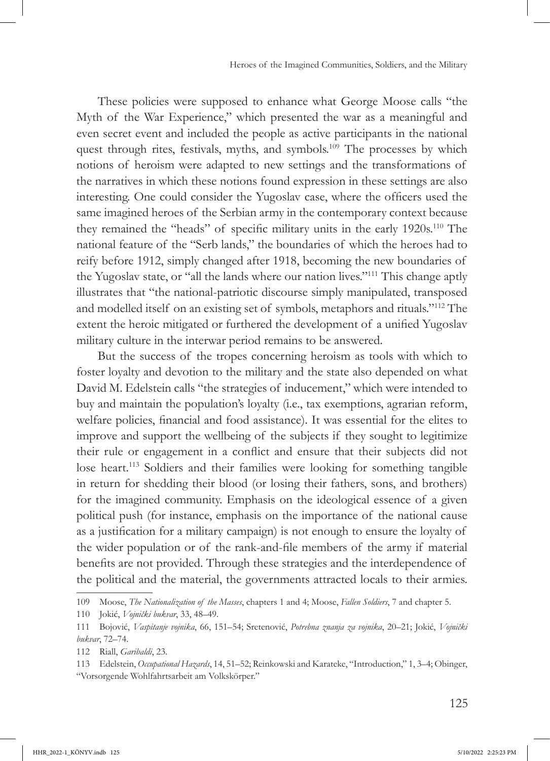These policies were supposed to enhance what George Moose calls "the Myth of the War Experience," which presented the war as a meaningful and even secret event and included the people as active participants in the national quest through rites, festivals, myths, and symbols.<sup>109</sup> The processes by which notions of heroism were adapted to new settings and the transformations of the narratives in which these notions found expression in these settings are also interesting. One could consider the Yugoslav case, where the officers used the same imagined heroes of the Serbian army in the contemporary context because they remained the "heads" of specific military units in the early 1920s.110 The national feature of the "Serb lands," the boundaries of which the heroes had to reify before 1912, simply changed after 1918, becoming the new boundaries of the Yugoslav state, or "all the lands where our nation lives."111 This change aptly illustrates that "the national-patriotic discourse simply manipulated, transposed and modelled itself on an existing set of symbols, metaphors and rituals."112 The extent the heroic mitigated or furthered the development of a unified Yugoslav military culture in the interwar period remains to be answered.

But the success of the tropes concerning heroism as tools with which to foster loyalty and devotion to the military and the state also depended on what David M. Edelstein calls "the strategies of inducement," which were intended to buy and maintain the population's loyalty (i.e., tax exemptions, agrarian reform, welfare policies, financial and food assistance). It was essential for the elites to improve and support the wellbeing of the subjects if they sought to legitimize their rule or engagement in a conflict and ensure that their subjects did not lose heart.113 Soldiers and their families were looking for something tangible in return for shedding their blood (or losing their fathers, sons, and brothers) for the imagined community. Emphasis on the ideological essence of a given political push (for instance, emphasis on the importance of the national cause as a justification for a military campaign) is not enough to ensure the loyalty of the wider population or of the rank-and-file members of the army if material benefits are not provided. Through these strategies and the interdependence of the political and the material, the governments attracted locals to their armies.

<sup>109</sup> Moose, *The Nationalization of the Masses*, chapters 1 and 4; Moose, *Fallen Soldiers*, 7 and chapter 5.

<sup>110</sup> Jokić, *Vojnički bukvar*, 33, 48–49.

<sup>111</sup> Bojović, *Vaspitanje vojnika*, 66, 151–54; Sretenović, *Potrebna znanja za vojnika*, 20–21; Jokić, *Vojnički bukvar*, 72–74.

<sup>112</sup> Riall, *Garibaldi*, 23.

<sup>113</sup> Edelstein, *Occupational Hazards*, 14, 51–52; Reinkowski and Karateke, "Introduction," 1, 3–4; Obinger, "Vorsorgende Wohlfahrtsarbeit am Volkskörper."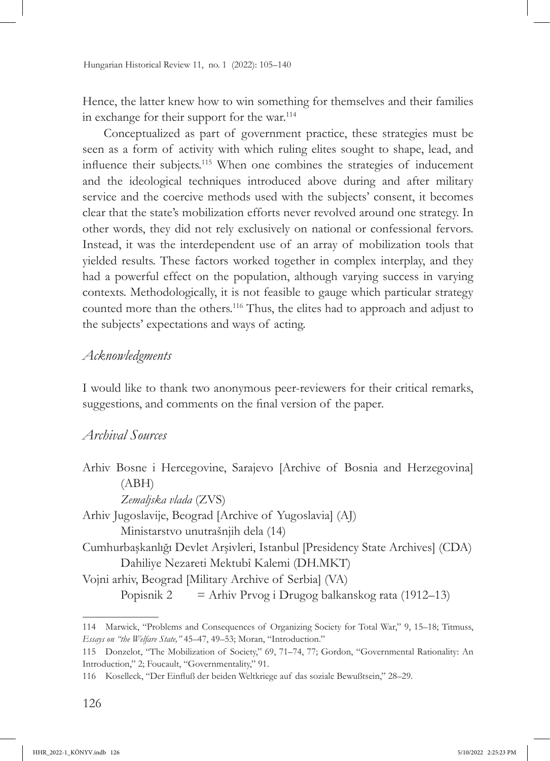Hence, the latter knew how to win something for themselves and their families in exchange for their support for the war.<sup>114</sup>

Conceptualized as part of government practice, these strategies must be seen as a form of activity with which ruling elites sought to shape, lead, and influence their subjects.115 When one combines the strategies of inducement and the ideological techniques introduced above during and after military service and the coercive methods used with the subjects' consent, it becomes clear that the state's mobilization efforts never revolved around one strategy. In other words, they did not rely exclusively on national or confessional fervors. Instead, it was the interdependent use of an array of mobilization tools that yielded results. These factors worked together in complex interplay, and they had a powerful effect on the population, although varying success in varying contexts. Methodologically, it is not feasible to gauge which particular strategy counted more than the others.116 Thus, the elites had to approach and adjust to the subjects' expectations and ways of acting.

## *Acknowledgments*

I would like to thank two anonymous peer-reviewers for their critical remarks, suggestions, and comments on the final version of the paper.

## *Archival Sources*

Arhiv Bosne i Hercegovine, Sarajevo [Archive of Bosnia and Herzegovina] (ABH) *Zemaljska vlada* (ZVS)

Arhiv Jugoslavije, Beograd [Archive of Yugoslavia] (AJ) Ministarstvo unutrašnjih dela (14) Cumhurbaşkanlığı Devlet Arşivleri, Istanbul [Presidency State Archives] (CDA) Dahiliye Nezareti Mektubî Kalemi (DH.MKT)

Vojni arhiv, Beograd [Military Archive of Serbia] (VA)

Popisnik 2 = Arhiv Prvog i Drugog balkanskog rata (1912–13)

<sup>114</sup> Marwick, "Problems and Consequences of Organizing Society for Total War," 9, 15–18; Titmuss, *Essays on "the Welfare State,"* 45–47, 49–53; Moran, "Introduction."

<sup>115</sup> Donzelot, "The Mobilization of Society," 69, 71–74, 77; Gordon, "Governmental Rationality: An Introduction," 2; Foucault, "Governmentality," 91.

<sup>116</sup> Koselleck, "Der Einfluß der beiden Weltkriege auf das soziale Bewußtsein," 28–29.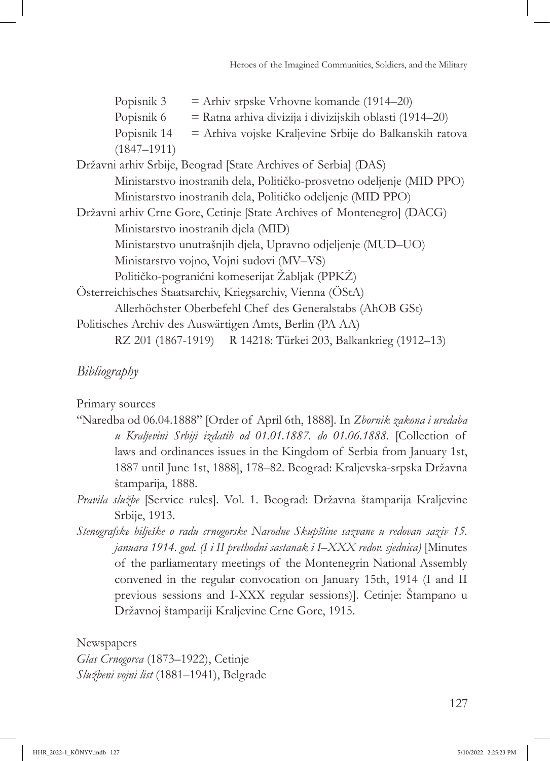# *Bibliography*

Primary sources

- "Naredba od 06.04.1888" [Order of April 6th, 1888]*.* In *Zbornik zakona i uredaba u Kraljevini Srbiji izdatih od 01.01.1887. do 01.06.1888.* [Collection of laws and ordinances issues in the Kingdom of Serbia from January 1st, 1887 until June 1st, 1888], 178–82. Beograd: Kraljevska-srpska Državna štamparija, 1888.
- *Pravila službe* [Service rules]*.* Vol. 1. Beograd: Državna štamparija Kraljevine Srbije, 1913.
- *Stenografske bilješke o radu crnogorske Narodne Skupštine sazvane u redovan saziv 15. januara 1914. god. (I i II prethodni sastanak i I–XXX redov. sjednica)* [Minutes of the parliamentary meetings of the Montenegrin National Assembly convened in the regular convocation on January 15th, 1914 (I and II previous sessions and I-XXX regular sessions)]. Cetinje: Štampano u Državnoj štampariji Kraljevine Crne Gore, 1915.

Newspapers *Glas Crnogorca* (1873–1922), Cetinje *Službeni vojni list* (1881–1941), Belgrade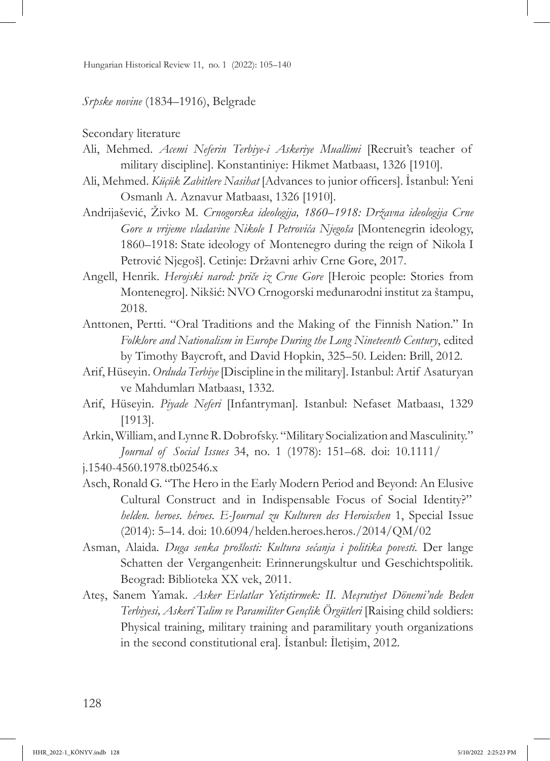Hungarian Historical Review 11, no. 1 (2022): 105–140

#### *Srpske novine* (1834–1916), Belgrade

Secondary literature

- Ali, Mehmed. *Acemi Neferin Terbiye-i Askeriye Muallimi* [Recruit's teacher of military discipline]. Konstantiniye: Hikmet Matbaası, 1326 [1910].
- Ali, Mehmed. *Küçük Zabitlere Nasihat* [Advances to junior officers]. İstanbul: Yeni Osmanlı A. Aznavur Matbaası, 1326 [1910].
- Andrijašević, Živko M. *Crnogorska ideologija, 1860–1918: Državna ideologija Crne Gore u vrijeme vladavine Nikole I Petrovića Njegoša* [Montenegrin ideology, 1860–1918: State ideology of Montenegro during the reign of Nikola I Petrović Njegoš]. Cetinje: Državni arhiv Crne Gore, 2017.
- Angell, Henrik. *Herojski narod: priče iz Crne Gore* [Heroic people: Stories from Montenegro]. Nikšić: NVO Crnogorski međunarodni institut za štampu, 2018.
- Anttonen, Pertti. "Oral Traditions and the Making of the Finnish Nation." In *Folklore and Nationalism in Europe During the Long Nineteenth Century*, edited by Timothy Baycroft, and David Hopkin, 325–50. Leiden: Brill, 2012.
- Arif, Hüseyin. *Orduda Terbiye* [Discipline in the military]. Istanbul: Artif Asaturyan ve Mahdumları Matbaası, 1332.
- Arif, Hüseyin. *Piyade Neferi* [Infantryman]*.* Istanbul: Nefaset Matbaası, 1329 [1913].
- Arkin, William, and Lynne R. Dobrofsky. "Military Socialization and Masculinity." *Journal of Social Issues* [34, no. 1 \(1978\): 151–68. doi: 10.1111/](https://doi.org/10.1111/j.1540-4560.1978.tb02546.x)

- Asch, Ronald G. "The Hero in the Early Modern Period and Beyond: An Elusive Cultural Construct and in Indispensable Focus of Social Identity?" *helden. heroes. héroes. E-Journal zu Kulturen des Heroischen* 1, Special Issue (2014): 5–14. doi: [10.6094/helden.heroes.heros./2014/QM/02](https://doi.org/10.6094/helden.heroes.heros./2014/QM/02)
- Asman, Alaida. *Duga senka prošlosti: Kultura sećanja i politika povesti.* Der lange Schatten der Vergangenheit: Erinnerungskultur und Geschichtspolitik*.* Beograd: Biblioteka XX vek, 2011.
- Ateş, Sanem Yamak. *Asker Evlatlar Yetiştirmek: II. Meşrutiyet Dönemi'nde Beden Terbiyesi, Askerî Talim ve Paramiliter Gençlik Örgütleri* [Raising child soldiers: Physical training, military training and paramilitary youth organizations in the second constitutional era]*.* İstanbul: İletişim, 2012.

j.1540-4560.1978.tb02546.x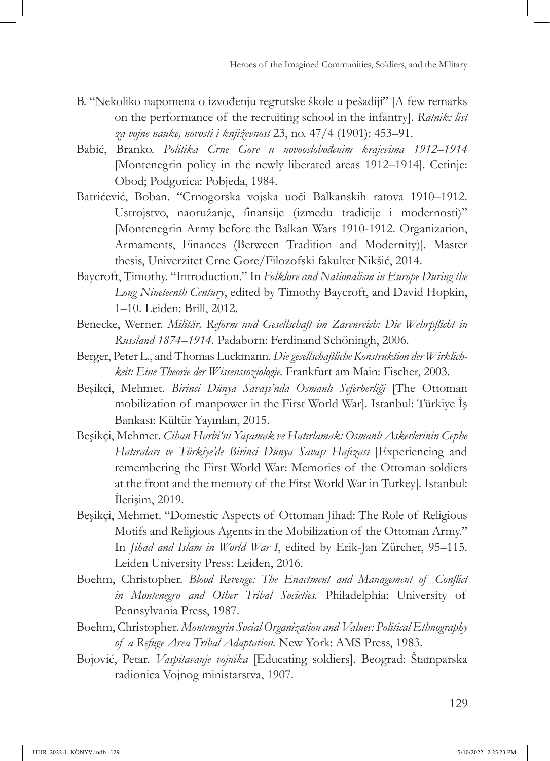- B. "Nekoliko napomena o izvođenju regrutske škole u pešadiji" [A few remarks on the performance of the recruiting school in the infantry]*. Ratnik: list za vojne nauke, novosti i književnost* 23, no. 47/4 (1901): 453–91.
- Babić, Branko. *Politika Crne Gore u novooslobođenim krajevima 1912*–*1914*  [Montenegrin policy in the newly liberated areas 1912–1914]. Cetinje: Obod; Podgorica: Pobjeda, 1984.
- Batrićević, Boban. "Crnogorska vojska uoči Balkanskih ratova 1910–1912. Ustrojstvo, naoružanje, finansije (između tradicije i modernosti)" [Montenegrin Army before the Balkan Wars 1910-1912. Organization, Armaments, Finances (Between Tradition and Modernity)]*.* Master thesis, Univerzitet Crne Gore/Filozofski fakultet Nikšić, 2014.
- Baycroft, Timothy. "Introduction." In *Folklore and Nationalism in Europe During the Long Nineteenth Century*, edited by Timothy Baycroft, and David Hopkin, 1–10. Leiden: Brill, 2012.
- Benecke, Werner. *Militär, Reform und Gesellschaft im Zarenreich: Die Wehrpflicht in Russland 1874*–*1914.* Padaborn: Ferdinand Schöningh, 2006.
- Berger, Peter L., and Thomas Luckmann. *Die gesellschaftliche Konstruktion der Wirklichkeit: Eine Theorie der Wissenssoziologie.* Frankfurt am Main: Fischer, 2003.
- Beşikçi, Mehmet. *Birinci Dünya Savaşı'nda Osmanlı Seferberliği* [The Ottoman mobilization of manpower in the First World War]*.* Istanbul: Türkiye İş Bankası: Kültür Yayınları, 2015.
- Beşikçi, Mehmet. *Cihan Harbi'ni Yaşamak ve Hatırlamak: Osmanlı Askerlerinin Cephe Hatıraları ve Türkiye'de Birinci Dünya Savaşı Hafızası* [Experiencing and remembering the First World War: Memories of the Ottoman soldiers at the front and the memory of the First World War in Turkey]*.* Istanbul: İletişim, 2019.
- Beşikçi, Mehmet. "Domestic Aspects of Ottoman Jihad: The Role of Religious Motifs and Religious Agents in the Mobilization of the Ottoman Army." In *Jihad and Islam in World War I*, edited by Erik-Jan Zürcher, 95–115. Leiden University Press: Leiden, 2016.
- Boehm, Christopher. *Blood Revenge: The Enactment and Management of Conflict in Montenegro and Other Tribal Societies.* Philadelphia: University of Pennsylvania Press, 1987.
- Boehm, Christopher. *Montenegrin Social Organization and Values: Political Ethnography of a Refuge Area Tribal Adaptation.* New York: AMS Press, 1983.
- Bojović, Petar. *Vaspitavanje vojnika* [Educating soldiers]*.* Beograd: Štamparska radionica Vojnog ministarstva, 1907.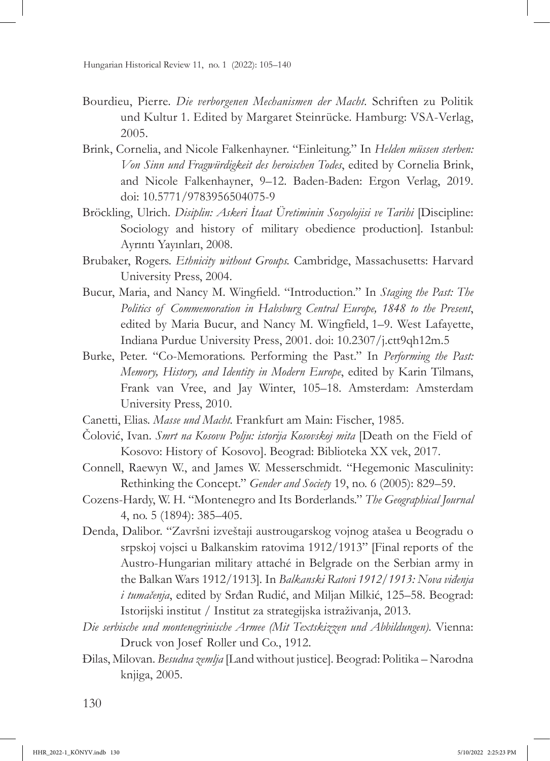- Bourdieu, Pierre. *Die verborgenen Mechanismen der Macht.* Schriften zu Politik und Kultur 1. Edited by Margaret Steinrücke. Hamburg: VSA-Verlag, 2005.
- Brink, Cornelia, and Nicole Falkenhayner. "Einleitung." In *Helden müssen sterben: Von Sinn und Fragwürdigkeit des heroischen Todes*, edited by Cornelia Brink, and Nicole Falkenhayner, 9–12. Baden-Baden: Ergon Verlag, 2019. doi: [10.5771/9783956504075-9](https://doi.org/10.5771/9783956504075-9)
- Bröckling, Ulrich. *Disiplin: Askeri İtaat Üretiminin Sosyolojisi ve Tarihi* [Discipline: Sociology and history of military obedience production]*.* Istanbul: Ayrıntı Yayınları, 2008.
- Brubaker, Rogers. *Ethnicity without Groups.* Cambridge, Massachusetts: Harvard University Press, 2004.
- Bucur, Maria, and Nancy M. Wingfield. "Introduction." In *Staging the Past: The Politics of Commemoration in Habsburg Central Europe, 1848 to the Present*, edited by Maria Bucur, and Nancy M. Wingfield, 1–9. West Lafayette, Indiana Purdue University Press, 2001. doi: [10.2307/j.ctt9qh12m.5](https://doi.org/10.2307/j.ctt9qh12m.5)
- Burke, Peter. "Co-Memorations. Performing the Past." In *Performing the Past: Memory, History, and Identity in Modern Europe*, edited by Karin Tilmans, Frank van Vree, and Jay Winter, 105–18. Amsterdam: Amsterdam University Press, 2010.
- Canetti, Elias. *Masse und Macht.* Frankfurt am Main: Fischer, 1985.
- Čolović, Ivan. *Smrt na Kosovu Polju: istorija Kosovskoj mita* [Death on the Field of Kosovo: History of Kosovo]. Beograd: Biblioteka XX vek, 2017.
- Connell, Raewyn W., and James W. Messerschmidt. "Hegemonic Masculinity: Rethinking the Concept." *Gender and Society* 19, no. 6 (2005): 829–59.
- Cozens-Hardy, W. H. "Montenegro and Its Borderlands." *The Geographical Journal*  4, no. 5 (1894): 385–405.
- Denda, Dalibor. "Završni izveštaji austrougarskog vojnog atašea u Beogradu o srpskoj vojsci u Balkanskim ratovima 1912/1913" [Final reports of the Austro-Hungarian military attaché in Belgrade on the Serbian army in the Balkan Wars 1912/1913]*.* In *Balkanski Ratovi 1912/1913: Nova viđenja i tumačenja*, edited by Srđan Rudić, and Miljan Milkić, 125–58. Beograd: Istorijski institut / Institut za strategijska istraživanja, 2013.
- *Die serbische und montenegrinische Armee (Mit Textskizzen und Abbildungen).* Vienna: Druck von Josef Roller und Co., 1912.
- Đilas, Milovan. *Besudna zemlja* [Land without justice]*.* Beograd: Politika Narodna knjiga, 2005.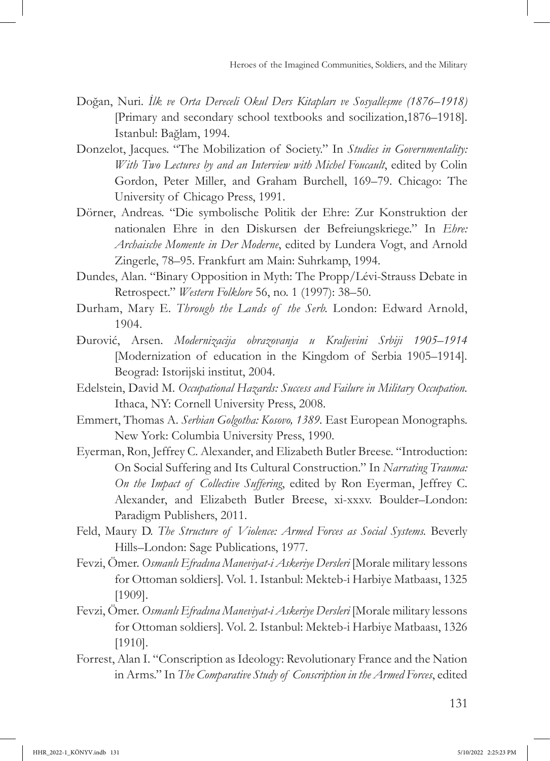- Doğan, Nuri. *İlk ve Orta Dereceli Okul Ders Kitapları ve Sosyalleşme (1876*–*1918)*  [Primary and secondary school textbooks and socilization,1876–1918]. Istanbul: Bağlam, 1994.
- Donzelot, Jacques. "The Mobilization of Society." In *Studies in Governmentality: With Two Lectures by and an Interview with Michel Foucault*, edited by Colin Gordon, Peter Miller, and Graham Burchell, 169–79. Chicago: The University of Chicago Press, 1991.
- Dörner, Andreas. "Die symbolische Politik der Ehre: Zur Konstruktion der nationalen Ehre in den Diskursen der Befreiungskriege." In *Ehre: Archaische Momente in Der Moderne*, edited by Lundera Vogt, and Arnold Zingerle, 78–95. Frankfurt am Main: Suhrkamp, 1994.
- Dundes, Alan. "Binary Opposition in Myth: The Propp/Lévi-Strauss Debate in Retrospect." *Western Folklore* 56, no. 1 (1997): 38–50.
- Durham, Mary E. *Through the Lands of the Serb.* London: Edward Arnold, 1904.
- Đurović, Arsen. *Modernizacija obrazovanja u Kraljevini Srbiji 1905*–*1914*  [Modernization of education in the Kingdom of Serbia 1905–1914]*.* Beograd: Istorijski institut, 2004.
- Edelstein, David M. *Occupational Hazards: Success and Failure in Military Occupation.* Ithaca, NY: Cornell University Press, 2008.
- Emmert, Thomas A. *Serbian Golgotha: Kosovo, 1389.* East European Monographs. New York: Columbia University Press, 1990.
- Eyerman, Ron, Jeffrey C. Alexander, and Elizabeth Butler Breese. "Introduction: On Social Suffering and Its Cultural Construction." In *Narrating Trauma: On the Impact of Collective Suffering*, edited by Ron Eyerman, Jeffrey C. Alexander, and Elizabeth Butler Breese, xi-xxxv. Boulder–London: Paradigm Publishers, 2011.
- Feld, Maury D. *The Structure of Violence: Armed Forces as Social Systems*. Beverly Hills–London: Sage Publications, 1977.
- Fevzi, Ömer. *Osmanlı Efradına Maneviyat-i Askeriye Dersleri* [Morale military lessons for Ottoman soldiers]*.* Vol. 1. Istanbul: Mekteb-i Harbiye Matbaası, 1325 [1909].
- Fevzi, Ömer. *Osmanlı Efradına Maneviyat-i Askeriye Dersleri* [Morale military lessons for Ottoman soldiers]*.* Vol. 2. Istanbul: Mekteb-i Harbiye Matbaası, 1326 [1910].
- Forrest, Alan I. "Conscription as Ideology: Revolutionary France and the Nation in Arms." In *The Comparative Study of Conscription in the Armed Forces*, edited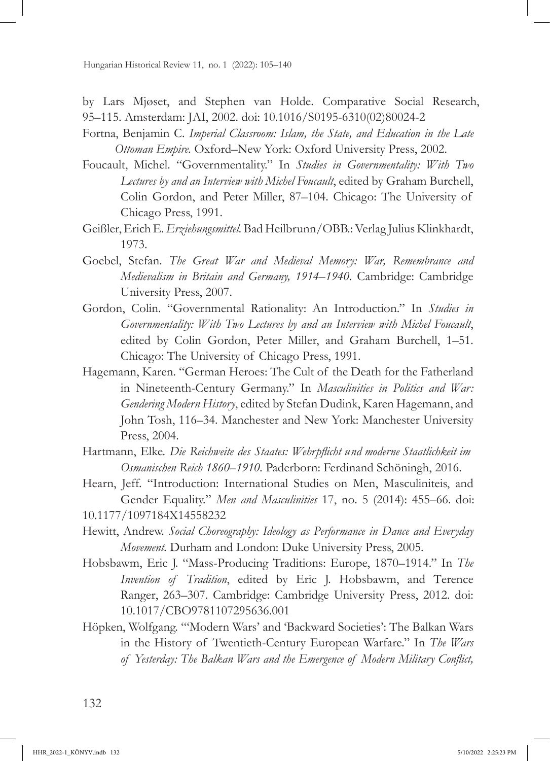by Lars Mjøset, and Stephen van Holde. Comparative Social Research, 95–115. Amsterdam: JAI, 2002. doi: [10.1016/S0195-6310\(02\)80024-2](https://doi.org/10.1016/S0195-6310(02)80024-2)

- Fortna, Benjamin C. *Imperial Classroom: Islam, the State, and Education in the Late Ottoman Empire.* Oxford–New York: Oxford University Press, 2002.
- Foucault, Michel. "Governmentality." In *Studies in Governmentality: With Two Lectures by and an Interview with Michel Foucault*, edited by Graham Burchell, Colin Gordon, and Peter Miller, 87–104. Chicago: The University of Chicago Press, 1991.
- Geißler, Erich E. *Erziehungsmittel.* Bad Heilbrunn/OBB.: Verlag Julius Klinkhardt, 1973.
- Goebel, Stefan. *The Great War and Medieval Memory: War, Remembrance and Medievalism in Britain and Germany, 1914*–*1940.* Cambridge: Cambridge University Press, 2007.
- Gordon, Colin. "Governmental Rationality: An Introduction." In *Studies in Governmentality: With Two Lectures by and an Interview with Michel Foucault*, edited by Colin Gordon, Peter Miller, and Graham Burchell, 1–51. Chicago: The University of Chicago Press, 1991.
- Hagemann, Karen. "German Heroes: The Cult of the Death for the Fatherland in Nineteenth-Century Germany." In *Masculinities in Politics and War: Gendering Modern History*, edited by Stefan Dudink, Karen Hagemann, and John Tosh, 116–34. Manchester and New York: Manchester University Press, 2004.
- Hartmann, Elke. *Die Reichweite des Staates: Wehrpflicht und moderne Staatlichkeit im Osmanischen Reich 1860*–*1910.* Paderborn: Ferdinand Schöningh, 2016.
- Hearn, Jeff. "Introduction: International Studies on Men, Masculiniteis, and Gender Equality." *Men and Masculinities* 17, no. 5 (2014): 455–66. doi:

- Hewitt, Andrew. *Social Choreography: Ideology as Performance in Dance and Everyday Movement.* Durham and London: Duke University Press, 2005.
- Hobsbawm, Eric J. "Mass-Producing Traditions: Europe, 1870–1914." In *The Invention of Tradition*, edited by Eric J. Hobsbawm, and Terence Ranger, 263–307. Cambridge: Cambridge University Press, 2012. doi: [10.1017/CBO9781107295636.001](https://doi.org/10.1017/CBO9781107295636.001)
- Höpken, Wolfgang. "'Modern Wars' and 'Backward Societies': The Balkan Wars in the History of Twentieth-Century European Warfare." In *The Wars of Yesterday: The Balkan Wars and the Emergence of Modern Military Conflict,*

[<sup>10.1177/1097184</sup>X14558232](https://Doi.org/10.1177/1097184X14558232)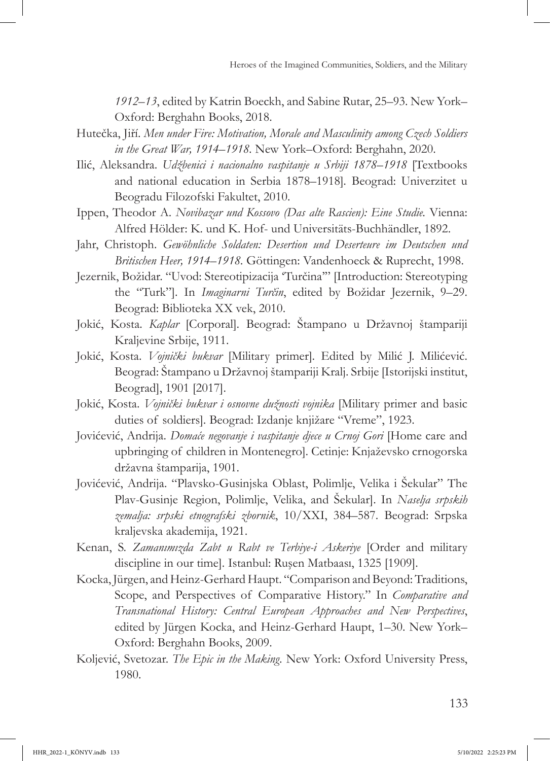*1912*–*13*, edited by Katrin Boeckh, and Sabine Rutar, 25–93. New York– Oxford: Berghahn Books, 2018.

- Hutečka, Jiří. *Men under Fire: Motivation, Morale and Masculinity among Czech Soldiers in the Great War, 1914*–*1918.* New York–Oxford: Berghahn, 2020.
- Ilić, Aleksandra. *Udžbenici i nacionalno vaspitanje u Srbiji 1878*–*1918* [Textbooks and national education in Serbia 1878–1918]*.* Beograd: Univerzitet u Beogradu Filozofski Fakultet, 2010.
- Ippen, Theodor A. *Novibazar und Kossovo (Das alte Rascien): Eine Studie.* Vienna: Alfred Hölder: K. und K. Hof- und Universitäts-Buchhändler, 1892.
- Jahr, Christoph. *Gewöhnliche Soldaten: Desertion und Deserteure im Deutschen und Britischen Heer, 1914*–*1918.* Göttingen: Vandenhoeck & Ruprecht, 1998.
- Jezernik, Božidar. "Uvod: Stereotipizacija 'Turčina'" [Introduction: Stereotyping the "Turk"]. In *Imaginarni Turčin*, edited by Božidar Jezernik, 9–29. Beograd: Biblioteka XX vek, 2010.
- Jokić, Kosta. *Kaplar* [Corporal]*.* Beograd: Štampano u Državnoj štampariji Kraljevine Srbije, 1911.
- Jokić, Kosta. *Vojnički bukvar* [Military primer]*.* Edited by Milić J. Milićević. Beograd: Štampano u Državnoj štampariji Kralj. Srbije [Istorijski institut, Beograd], 1901 [2017].
- Jokić, Kosta. *Vojnički bukvar i osnovne dužnosti vojnika* [Military primer and basic duties of soldiers]*.* Beograd: Izdanje knjižare "Vreme", 1923.
- Jovićević, Andrija. *Domaće negovanje i vaspitanje djece u Crnoj Gori* [Home care and upbringing of children in Montenegro]*.* Cetinje: Knjaževsko crnogorska državna štamparija, 1901.
- Jovićević, Andrija. "Plavsko-Gusinjska Oblast, Polimlje, Velika i Šekular" The Plav-Gusinje Region, Polimlje, Velika, and Šekular]. In *Naselja srpskih zemalja: srpski etnografski zbornik*, 10/XXI, 384–587. Beograd: Srpska kraljevska akademija, 1921.
- Kenan, S. *Zamanımızda Zabt u Rabt ve Terbiye-i Askeriye* [Order and military discipline in our time]. Istanbul: Ruşen Matbaası, 1325 [1909].
- Kocka, Jürgen, and Heinz-Gerhard Haupt. "Comparison and Beyond: Traditions, Scope, and Perspectives of Comparative History." In *Comparative and Transnational History: Central European Approaches and New Perspectives*, edited by Jürgen Kocka, and Heinz-Gerhard Haupt, 1–30. New York– Oxford: Berghahn Books, 2009.
- Koljević, Svetozar. *The Epic in the Making.* New York: Oxford University Press, 1980.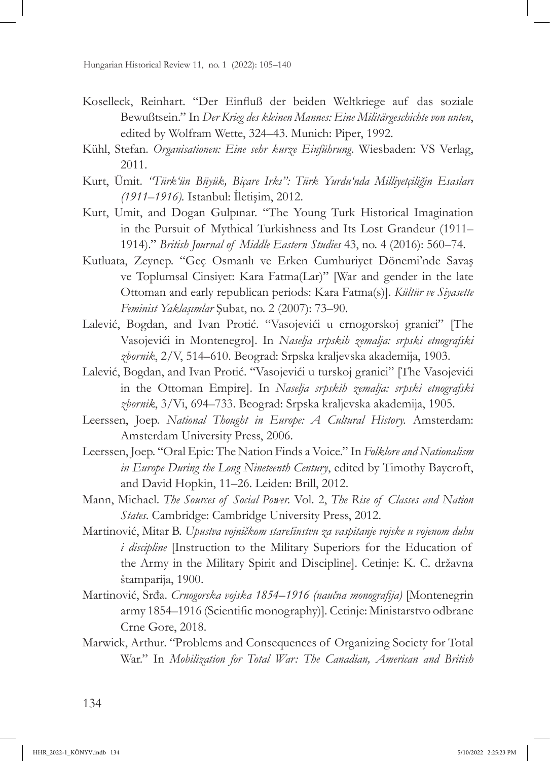- Koselleck, Reinhart. "Der Einfluß der beiden Weltkriege auf das soziale Bewußtsein." In *Der Krieg des kleinen Mannes: Eine Militärgeschichte von unten*, edited by Wolfram Wette, 324–43. Munich: Piper, 1992.
- Kühl, Stefan. *Organisationen: Eine sehr kurze Einführung.* Wiesbaden: VS Verlag, 2011.
- Kurt, Ümit. *"Türk'ün Büyük, Biçare Irkı": Türk Yurdu'nda Milliyetçiliğin Esasları (1911*–*1916).* Istanbul: İletişim, 2012.
- Kurt, Umit, and Dogan Gulpınar. "The Young Turk Historical Imagination in the Pursuit of Mythical Turkishness and Its Lost Grandeur (1911– 1914)." *British Journal of Middle Eastern Studies* 43, no. 4 (2016): 560–74.
- Kutluata, Zeynep. "Geç Osmanlı ve Erken Cumhuriyet Dönemi'nde Savaş ve Toplumsal Cinsiyet: Kara Fatma(Lar)" [War and gender in the late Ottoman and early republican periods: Kara Fatma(s)]. *Kültür ve Siyasette Feminist Yaklaşımlar* Şubat, no. 2 (2007): 73–90.
- Lalević, Bogdan, and Ivan Protić. "Vasojevići u crnogorskoj granici" [The Vasojevići in Montenegro]. In *Naselja srpskih zemalja: srpski etnografski zbornik*, 2/V, 514–610. Beograd: Srpska kraljevska akademija, 1903.
- Lalević, Bogdan, and Ivan Protić. "Vasojevići u turskoj granici" [The Vasojevići in the Ottoman Empire]. In *Naselja srpskih zemalja: srpski etnografski zbornik*, 3/Vi, 694–733. Beograd: Srpska kraljevska akademija, 1905.
- Leerssen, Joep. *National Thought in Europe: A Cultural History.* Amsterdam: Amsterdam University Press, 2006.
- Leerssen, Joep. "Oral Epic: The Nation Finds a Voice." In *Folklore and Nationalism in Europe During the Long Nineteenth Century*, edited by Timothy Baycroft, and David Hopkin, 11–26. Leiden: Brill, 2012.
- Mann, Michael. *The Sources of Social Power.* Vol. 2, *The Rise of Classes and Nation States*. Cambridge: Cambridge University Press, 2012.
- Martinović, Mitar B. *Upustva vojničkom starešinstvu za vaspitanje vojske u vojenom duhu i discipline* [Instruction to the Military Superiors for the Education of the Army in the Military Spirit and Discipline]. Cetinje: K. C. državna štamparija, 1900.
- Martinović, Srđa. *Crnogorska vojska 1854*–*1916 (naučna monografija)* [Montenegrin army 1854–1916 (Scientific monography)]*.* Cetinje: Ministarstvo odbrane Crne Gore, 2018.
- Marwick, Arthur. "Problems and Consequences of Organizing Society for Total War." In *Mobilization for Total War: The Canadian, American and British*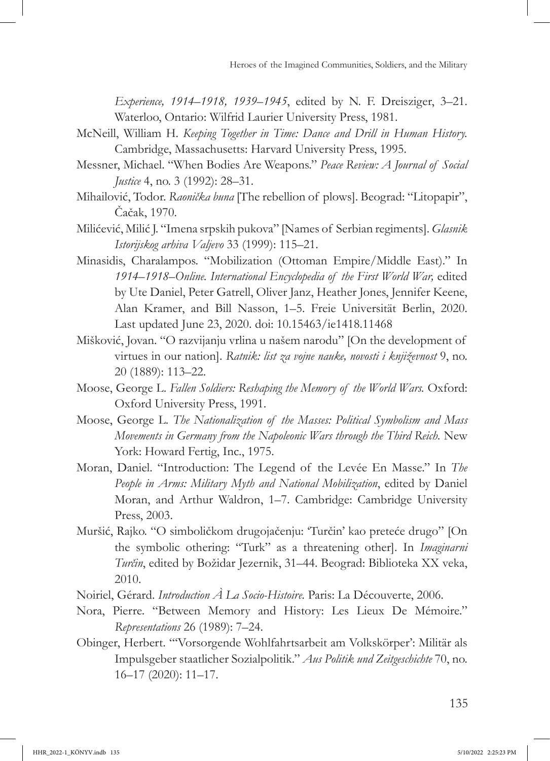*Experience, 1914*–*1918, 1939*–*1945*, edited by N. F. Dreisziger, 3–21. Waterloo, Ontario: Wilfrid Laurier University Press, 1981.

- McNeill, William H. *Keeping Together in Time: Dance and Drill in Human History.* Cambridge, Massachusetts: Harvard University Press, 1995.
- Messner, Michael. "When Bodies Are Weapons." *Peace Review: A Journal of Social Justice* 4, no. 3 (1992): 28-31.
- Mihailović, Todor. *Raonička buna* [The rebellion of plows]. Beograd: "Litopapir", Čačak, 1970.
- Milićević, Milić J. "Imena srpskih pukova" [Names of Serbian regiments]. *Glasnik Istorijskog arhiva Valjevo* 33 (1999): 115–21.
- Minasidis, Charalampos. "Mobilization (Ottoman Empire/Middle East)." In *1914*–*1918–Online. International Encyclopedia of the First World War,* edited by Ute Daniel, Peter Gatrell, Oliver Janz, Heather Jones, Jennifer Keene, Alan Kramer, and Bill Nasson, 1–5. Freie Universität Berlin, 2020. Last updated June 23, 2020. doi: [10.15463/ie1418.11468](https://doi.org/10.15463/ie1418.11468)
- Mišković, Jovan. "O razvijanju vrlina u našem narodu" [On the development of virtues in our nation]. *Ratnik: list za vojne nauke, novosti i književnost* 9, no. 20 (1889): 113–22.
- Moose, George L. *Fallen Soldiers: Reshaping the Memory of the World Wars.* Oxford: Oxford University Press, 1991.
- Moose, George L. *The Nationalization of the Masses: Political Symbolism and Mass Movements in Germany from the Napoleonic Wars through the Third Reich.* New York: Howard Fertig, Inc., 1975.
- Moran, Daniel. "Introduction: The Legend of the Levée En Masse." In *The People in Arms: Military Myth and National Mobilization*, edited by Daniel Moran, and Arthur Waldron, 1–7. Cambridge: Cambridge University Press, 2003.
- Muršić, Rajko. "O simboličkom drugojačenju: 'Turčin' kao preteće drugo" [On the symbolic othering: "Turk" as a threatening other]. In *Imaginarni Turčin*, edited by Božidar Jezernik, 31–44. Beograd: Biblioteka XX veka, 2010.
- Noiriel, Gérard. *Introduction À La Socio-Histoire.* Paris: La Découverte, 2006.
- Nora, Pierre. "Between Memory and History: Les Lieux De Mémoire." *Representations* 26 (1989): 7–24.
- Obinger, Herbert. "'Vorsorgende Wohlfahrtsarbeit am Volkskörper': Militär als Impulsgeber staatlicher Sozialpolitik." *Aus Politik und Zeitgeschichte* 70, no. 16–17 (2020): 11–17.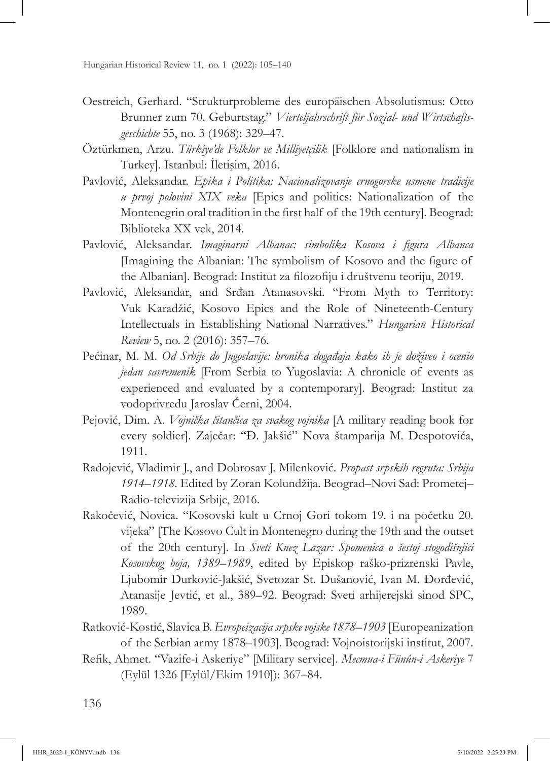- Oestreich, Gerhard. "Strukturprobleme des europäischen Absolutismus: Otto Brunner zum 70. Geburtstag." *Vierteljahrschrift für Sozial- und Wirtschaftsgeschichte* 55, no. 3 (1968): 329–47.
- Öztürkmen, Arzu. *Türkiye'de Folklor ve Milliyetçilik* [Folklore and nationalism in Turkey]*.* Istanbul: İletişim, 2016.
- Pavlović, Aleksandar. *Epika i Politika: Nacionalizovanje crnogorske usmene tradicije u prvoj polovini XIX veka* [Epics and politics: Nationalization of the Montenegrin oral tradition in the first half of the 19th century]*.* Beograd: Biblioteka XX vek, 2014.
- Pavlović, Aleksandar. *Imaginarni Albanac: simbolika Kosova i figura Albanca*  [Imagining the Albanian: The symbolism of Kosovo and the figure of the Albanian]. Beograd: Institut za filozofiju i društvenu teoriju, 2019.
- Pavlović, Aleksandar, and Srđan Atanasovski. "From Myth to Territory: Vuk Karadžić, Kosovo Epics and the Role of Nineteenth-Century Intellectuals in Establishing National Narratives." *Hungarian Historical Review* 5, no. 2 (2016): 357–76.
- Pećinar, M. M. *Od Srbije do Jugoslavije: hronika događaja kako ih je doživeo i ocenio jedan savremenik* [From Serbia to Yugoslavia: A chronicle of events as experienced and evaluated by a contemporary]*.* Beograd: Institut za vodoprivredu Jaroslav Černi, 2004.
- Pejović, Dim. A. *Vojnička čitančica za svakog vojnika* [A military reading book for every soldier]. Zaječar: "Đ. Jakšić" Nova štamparija M. Despotovića, 1911.
- Radojević, Vladimir J., and Dobrosav J. Milenković. *Propast srpskih regruta: Srbija 1914–1918.* Edited by Zoran Kolundžija. Beograd–Novi Sad: Prometej– Radio-televizija Srbije, 2016.
- Rakočević, Novica. "Kosovski kult u Crnoj Gori tokom 19. i na početku 20. vijeka" [The Kosovo Cult in Montenegro during the 19th and the outset of the 20th century]. In *Sveti Knez Lazar: Spomenica o šestoj stogodišnjici Kosovskog boja, 1389*–*1989*, edited by Episkop raško-prizrenski Pavle, Ljubomir Durković-Jakšić, Svetozar St. Dušanović, Ivan M. Đorđević, Atanasije Jevtić, et al., 389–92. Beograd: Sveti arhijerejski sinod SPC, 1989.
- Ratković-Kostić, Slavica B. *Evropeizacija srpske vojske 1878*–*1903* [Europeanization of the Serbian army 1878–1903]*.* Beograd: Vojnoistorijski institut, 2007.
- Refik, Ahmet. "Vazife-i Askeriye" [Military service]. *Mecmua-i Fünûn-i Askeriye* 7 (Eylül 1326 [Eylül/Ekim 1910]): 367–84.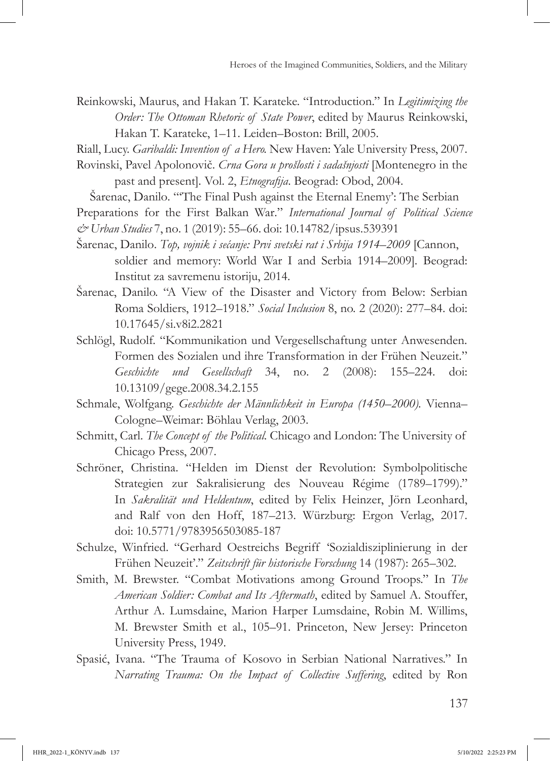Reinkowski, Maurus, and Hakan T. Karateke. "Introduction." In *Legitimizing the Order: The Ottoman Rhetoric of State Power*, edited by Maurus Reinkowski, Hakan T. Karateke, 1–11. Leiden–Boston: Brill, 2005.

Riall, Lucy. *Garibaldi: Invention of a Hero.* New Haven: Yale University Press, 2007.

Rovinski, Pavel Apolonovič. *Crna Gora u prošlosti i sadašnjosti* [Montenegro in the past and present]*.* Vol. 2, *Etnografija*. Beograd: Obod, 2004.

Šarenac, Danilo. "'The Final Push against the Eternal Enemy': The Serbian Preparations for the First Balkan War." *International Journal of Political Science & Urban Studies* 7, no. 1 (2019): 55–66. doi: [10.14782/ipsus.539391](https://doi.org/10.14782/ipsus.539391)

- Šarenac, Danilo. *Top, vojnik i sećanje: Prvi svetski rat i Srbija 1914*–*2009* [Cannon, soldier and memory: World War I and Serbia 1914–2009]*.* Beograd: Institut za savremenu istoriju, 2014.
- Šarenac, Danilo. "A View of the Disaster and Victory from Below: Serbian Roma Soldiers, 1912–1918." *Social Inclusion* 8, no. 2 (2020): 277–84. doi: [10.17645/si.v8i2.2821](https://doi.org/10.17645/si.v8i2.2821)
- Schlögl, Rudolf. "Kommunikation und Vergesellschaftung unter Anwesenden. Formen des Sozialen und ihre Transformation in der Frühen Neuzeit." *Geschichte und Gesellschaft* 34, no. 2 (2008): 155–224. doi: [10.13109/gege.2008.34.2.155](https://doi.org/10.13109/gege.2008.34.2.155)
- Schmale, Wolfgang. *Geschichte der Männlichkeit in Europa (1450–2000).* Vienna– Cologne–Weimar: Böhlau Verlag, 2003.
- Schmitt, Carl. *The Concept of the Political.* Chicago and London: The University of Chicago Press, 2007.
- Schröner, Christina. "Helden im Dienst der Revolution: Symbolpolitische Strategien zur Sakralisierung des Nouveau Régime (1789–1799)." In *Sakralität und Heldentum*, edited by Felix Heinzer, Jörn Leonhard, and Ralf von den Hoff, 187–213. Würzburg: Ergon Verlag, 2017. doi: [10.5771/9783956503085-187](https://doi.org/10.5771/9783956503085-187)
- Schulze, Winfried. "Gerhard Oestreichs Begriff 'Sozialdisziplinierung in der Frühen Neuzeit'." *Zeitschrift für historische Forschung* 14 (1987): 265–302.
- Smith, M. Brewster. "Combat Motivations among Ground Troops." In *The American Soldier: Combat and Its Aftermath*, edited by Samuel A. Stouffer, Arthur A. Lumsdaine, Marion Harper Lumsdaine, Robin M. Willims, M. Brewster Smith et al., 105–91. Princeton, New Jersey: Princeton University Press, 1949.
- Spasić, Ivana. "The Trauma of Kosovo in Serbian National Narratives." In *Narrating Trauma: On the Impact of Collective Suffering*, edited by Ron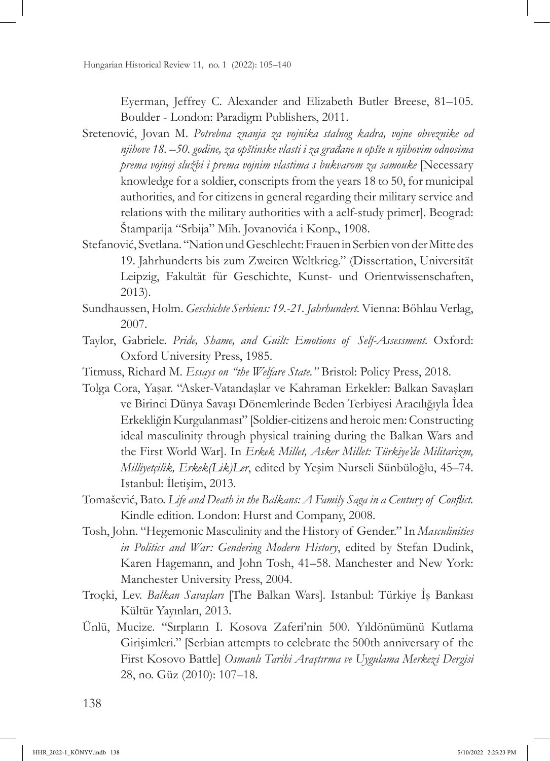Eyerman, Jeffrey C. Alexander and Elizabeth Butler Breese, 81–105. Boulder - London: Paradigm Publishers, 2011.

- Sretenović, Jovan M. *Potrebna znanja za vojnika stalnog kadra, vojne obveznike od njihove 18.* –*50. godine, za opštinske vlasti i za građane u opšte u njihovim odnosima prema vojnoj službi i prema vojnim vlastima s bukvarom za samouke* [Necessary knowledge for a soldier, conscripts from the years 18 to 50, for municipal authorities, and for citizens in general regarding their military service and relations with the military authorities with a aelf-study primer]*.* Beograd: Štamparija "Srbija" Mih. Jovanovića i Konp., 1908.
- Stefanović, Svetlana. "Nation und Geschlecht: Frauen in Serbien von der Mitte des 19. Jahrhunderts bis zum Zweiten Weltkrieg." (Dissertation, Universität Leipzig, Fakultät für Geschichte, Kunst- und Orientwissenschaften, 2013).
- Sundhaussen, Holm. *Geschichte Serbiens: 19.-21. Jahrhundert.* Vienna: Böhlau Verlag, 2007.
- Taylor, Gabriele. *Pride, Shame, and Guilt: Emotions of Self-Assessment.* Oxford: Oxford University Press, 1985.
- Titmuss, Richard M. *Essays on "the Welfare State."* Bristol: Policy Press, 2018.
- Tolga Cora, Yaşar. "Asker-Vatandaşlar ve Kahraman Erkekler: Balkan Savaşları ve Birinci Dünya Savaşı Dönemlerinde Beden Terbiyesi Aracılığıyla İdea Erkekliğin Kurgulanması" [Soldier-citizens and heroic men: Constructing ideal masculinity through physical training during the Balkan Wars and the First World War]. In *Erkek Millet, Asker Millet: Türkiye'de Militarizm, Milliyetçilik, Erkek(Lik)Ler*, edited by Yeşim Nurseli Sünbüloğlu, 45–74. Istanbul: İletişim, 2013.
- Tomašević, Bato. *Life and Death in the Balkans: A Family Saga in a Century of Conflict.*  Kindle edition. London: Hurst and Company, 2008.
- Tosh, John. "Hegemonic Masculinity and the History of Gender." In *Masculinities in Politics and War: Gendering Modern History*, edited by Stefan Dudink, Karen Hagemann, and John Tosh, 41–58. Manchester and New York: Manchester University Press, 2004.
- Troçki, Lev. *Balkan Savaşları* [The Balkan Wars]*.* Istanbul: Türkiye İş Bankası Kültür Yayınları, 2013.
- Ünlü, Mucize. "Sırpların I. Kosova Zaferi'nin 500. Yıldönümünü Kutlama Girişimleri." [Serbian attempts to celebrate the 500th anniversary of the First Kosovo Battle] *Osmanlı Tarihi Araştırma ve Uygulama Merkezi Dergisi*  28, no. Güz (2010): 107–18.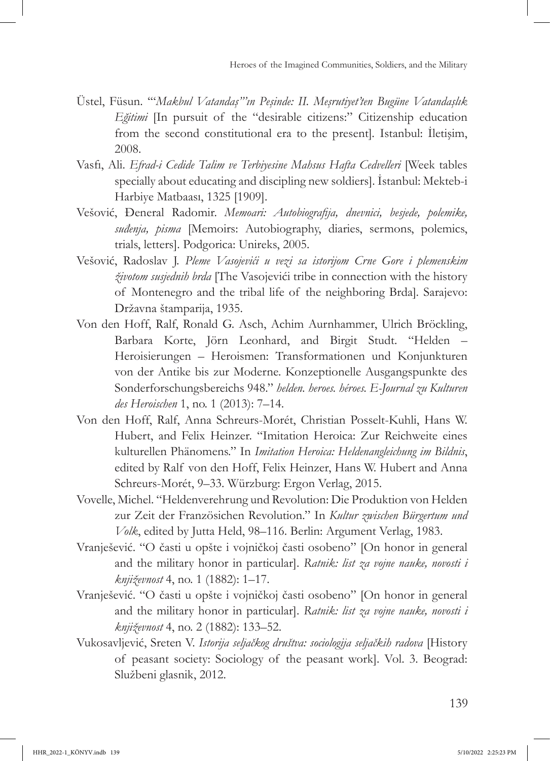- Üstel, Füsun. '"*Makbul Vatandaş"'ın Peşinde: II. Meşrutiyet'ten Bugüne Vatandaşlık Eğitimi* [In pursuit of the "desirable citizens:" Citizenship education from the second constitutional era to the present]*.* Istanbul: İletişim, 2008.
- Vasfi, Ali. *Efrad-i Cedide Talim ve Terbiyesine Mahsus Hafta Cedvelleri* [Week tables specially about educating and discipling new soldiers]. İstanbul: Mekteb-i Harbiye Matbaası, 1325 [1909].
- Vešović, Đeneral Radomir. *Memoari: Autobiografija, dnevnici, besjede, polemike, suđenja, pisma* [Memoirs: Autobiography, diaries, sermons, polemics, trials, letters]. Podgorica: Unireks, 2005.
- Vešović, Radoslav J. *Pleme Vasojevići u vezi sa istorijom Crne Gore i plemenskim životom susjednih brda* [The Vasojevići tribe in connection with the history of Montenegro and the tribal life of the neighboring Brda]*.* Sarajevo: Državna štamparija, 1935.
- Von den Hoff, Ralf, Ronald G. Asch, Achim Aurnhammer, Ulrich Bröckling, Barbara Korte, Jörn Leonhard, and Birgit Studt. "Helden – Heroisierungen – Heroismen: Transformationen und Konjunkturen von der Antike bis zur Moderne. Konzeptionelle Ausgangspunkte des Sonderforschungsbereichs 948." *helden. heroes. héroes. E-Journal zu Kulturen des Heroischen* 1, no. 1 (2013): 7–14.
- Von den Hoff, Ralf, Anna Schreurs-Morét, Christian Posselt-Kuhli, Hans W. Hubert, and Felix Heinzer. "Imitation Heroica: Zur Reichweite eines kulturellen Phänomens." In *Imitation Heroica: Heldenangleichung im Bildnis*, edited by Ralf von den Hoff, Felix Heinzer, Hans W. Hubert and Anna Schreurs-Morét, 9–33. Würzburg: Ergon Verlag, 2015.
- Vovelle, Michel. "Heldenverehrung und Revolution: Die Produktion von Helden zur Zeit der Französichen Revolution." In *Kultur zwischen Bürgertum und Volk*, edited by Jutta Held, 98–116. Berlin: Argument Verlag, 1983.
- Vranješević. "O časti u opšte i vojničkoj časti osobeno" [On honor in general and the military honor in particular]. *Ratnik: list za vojne nauke, novosti i književnost* 4, no. 1 (1882): 1–17.
- Vranješević. "O časti u opšte i vojničkoj časti osobeno" [On honor in general and the military honor in particular]. *Ratnik: list za vojne nauke, novosti i književnost* 4, no. 2 (1882): 133–52.
- Vukosavljević, Sreten V. *Istorija seljačkog društva: sociologija seljačkih radova* [History of peasant society: Sociology of the peasant work]. Vol. 3. Beograd: Službeni glasnik, 2012.